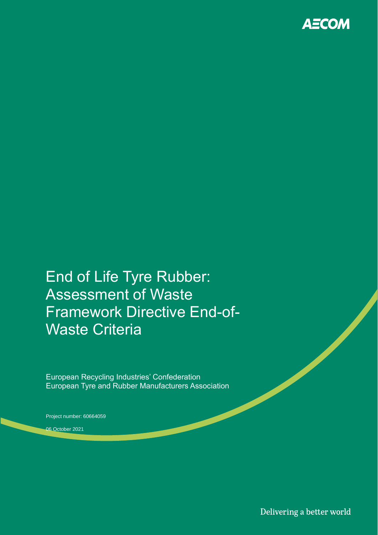

End of Life Tyre Rubber: Assessment of Waste Framework Directive End-of-Waste Criteria

European Recycling Industries' Confederation European Tyre and Rubber Manufacturers Association

Project number: 60664059

06 October 2021

Delivering a better world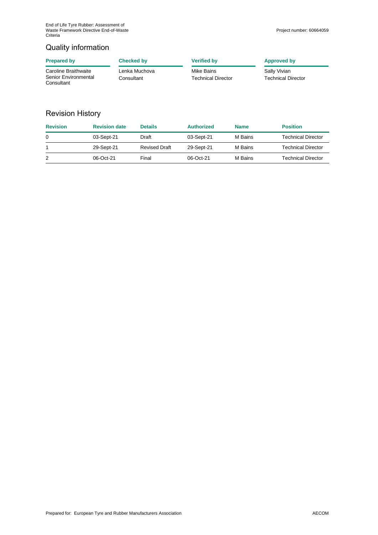## Quality information

| <b>Prepared by</b>                                         | Checked by                  | <b>Verified by</b>                      | <b>Approved by</b>                        |
|------------------------------------------------------------|-----------------------------|-----------------------------------------|-------------------------------------------|
| Caroline Braithwaite<br>Senior Environmental<br>Consultant | Lenka Muchova<br>Consultant | Mike Bains<br><b>Technical Director</b> | Sally Vivian<br><b>Technical Director</b> |

## Revision History

| <b>Revision</b> | <b>Revision date</b> | <b>Details</b>       | <b>Authorized</b> | <b>Name</b> | <b>Position</b>    |
|-----------------|----------------------|----------------------|-------------------|-------------|--------------------|
| 0               | 03-Sept-21           | Draft                | 03-Sept-21        | M Bains     | Technical Director |
|                 | 29-Sept-21           | <b>Revised Draft</b> | 29-Sept-21        | M Bains     | Technical Director |
|                 | 06-Oct-21            | Final                | 06-Oct-21         | M Bains     | Technical Director |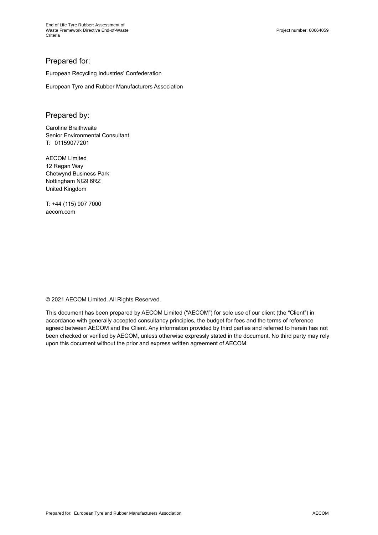### Prepared for:

European Recycling Industries' Confederation

European Tyre and Rubber Manufacturers Association

### Prepared by:

Caroline Braithwaite Senior Environmental Consultant T: 01159077201

AECOM Limited 12 Regan Way Chetwynd Business Park Nottingham NG9 6RZ United Kingdom

T: +44 (115) 907 7000 aecom.com

© 2021 AECOM Limited. All Rights Reserved.

This document has been prepared by AECOM Limited ("AECOM") for sole use of our client (the "Client") in accordance with generally accepted consultancy principles, the budget for fees and the terms of reference agreed between AECOM and the Client. Any information provided by third parties and referred to herein has not been checked or verified by AECOM, unless otherwise expressly stated in the document. No third party may rely upon this document without the prior and express written agreement of AECOM.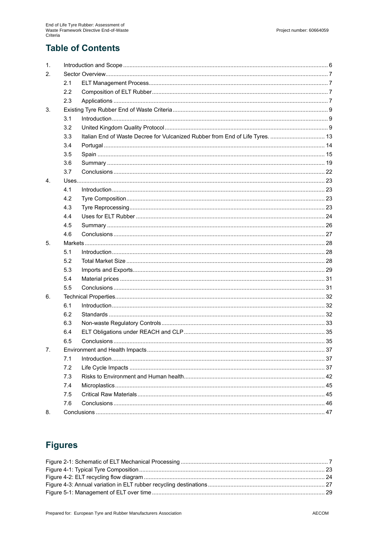# **Table of Contents**

| $\mathbf{1}$ . |     |                                                                               |  |
|----------------|-----|-------------------------------------------------------------------------------|--|
| 2.             |     |                                                                               |  |
|                | 2.1 |                                                                               |  |
|                | 2.2 |                                                                               |  |
|                | 2.3 |                                                                               |  |
| 3.             |     |                                                                               |  |
|                | 3.1 |                                                                               |  |
|                | 3.2 |                                                                               |  |
|                | 3.3 | Italian End of Waste Decree for Vulcanized Rubber from End of Life Tyres.  13 |  |
|                | 3.4 |                                                                               |  |
|                | 3.5 |                                                                               |  |
|                | 3.6 |                                                                               |  |
|                | 3.7 |                                                                               |  |
| 4.             |     |                                                                               |  |
|                | 4.1 |                                                                               |  |
|                | 4.2 |                                                                               |  |
|                | 4.3 |                                                                               |  |
|                | 4.4 |                                                                               |  |
|                | 4.5 |                                                                               |  |
|                | 4.6 |                                                                               |  |
| 5.             |     |                                                                               |  |
|                | 5.1 |                                                                               |  |
|                | 5.2 |                                                                               |  |
|                | 5.3 |                                                                               |  |
|                | 5.4 |                                                                               |  |
|                | 5.5 |                                                                               |  |
| 6.             |     |                                                                               |  |
|                | 6.1 |                                                                               |  |
|                | 6.2 |                                                                               |  |
|                | 6.3 |                                                                               |  |
|                | 6.4 |                                                                               |  |
|                | 6.5 |                                                                               |  |
| 7.             |     |                                                                               |  |
|                | 7.1 |                                                                               |  |
|                | 7.2 |                                                                               |  |
|                | 7.3 |                                                                               |  |
|                | 7.4 |                                                                               |  |
|                | 7.5 |                                                                               |  |
|                | 7.6 |                                                                               |  |
| 8.             |     |                                                                               |  |

# **Figures**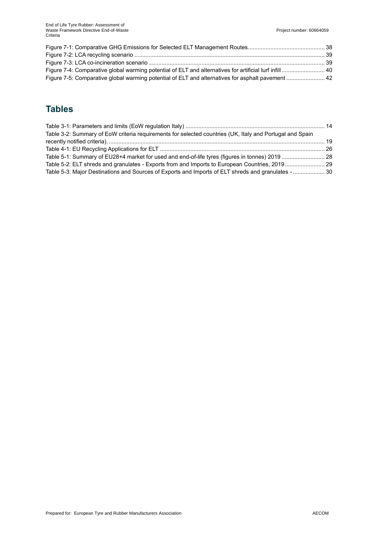| Figure 7-5: Comparative global warming potential of ELT and alternatives for asphalt pavement  42 |  |
|---------------------------------------------------------------------------------------------------|--|

# **Tables**

| Table 3-2: Summary of EoW criteria requirements for selected countries (UK, Italy and Portugal and Spain |  |
|----------------------------------------------------------------------------------------------------------|--|
|                                                                                                          |  |
|                                                                                                          |  |
| Table 5-1: Summary of EU28+4 market for used and end-of-life tyres (figures in tonnes) 2019  28          |  |
| Table 5-2: ELT shreds and granulates - Exports from and Imports to European Countries, 2019 29           |  |
| Table 5-3: Major Destinations and Sources of Exports and Imports of ELT shreds and granulates -  30      |  |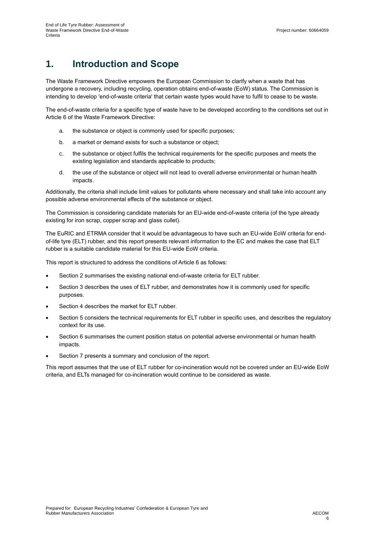# **1. Introduction and Scope**

The Waste Framework Directive empowers the European Commission to clarify when a waste that has undergone a recovery, including recycling, operation obtains end-of-waste (EoW) status. The Commission is intending to develop 'end-of-waste criteria' that certain waste types would have to fulfil to cease to be waste.

The end-of-waste criteria for a specific type of waste have to be developed according to the conditions set out in Article 6 of the Waste Framework Directive:

- a. the substance or object is commonly used for specific purposes;
- b. a market or demand exists for such a substance or object;
- c. the substance or object fulfils the technical requirements for the specific purposes and meets the existing legislation and standards applicable to products;
- d. the use of the substance or object will not lead to overall adverse environmental or human health impacts.

Additionally, the criteria shall include limit values for pollutants where necessary and shall take into account any possible adverse environmental effects of the substance or object.

The Commission is considering candidate materials for an EU-wide end-of-waste criteria (of the type already existing for iron scrap, copper scrap and glass cullet).

The EuRIC and ETRMA consider that it would be advantageous to have such an EU-wide EoW criteria for endof-life tyre (ELT) rubber, and this report presents relevant information to the EC and makes the case that ELT rubber is a suitable candidate material for this EU-wide EoW criteria.

This report is structured to address the conditions of Article 6 as follows:

- Section 2 summarises the existing national end-of-waste criteria for ELT rubber.
- Section 3 describes the uses of ELT rubber, and demonstrates how it is commonly used for specific purposes.
- Section 4 describes the market for ELT rubber.
- Section 5 considers the technical requirements for ELT rubber in specific uses, and describes the regulatory context for its use.
- Section 6 summarises the current position status on potential adverse environmental or human health impacts.
- Section 7 presents a summary and conclusion of the report.

This report assumes that the use of ELT rubber for co-incineration would not be covered under an EU-wide EoW criteria, and ELTs managed for co-incineration would continue to be considered as waste.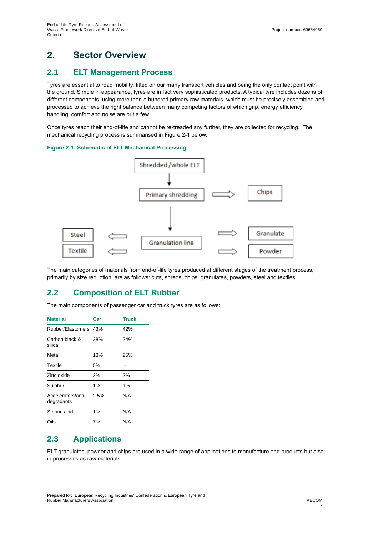# **2. Sector Overview**

## **2.1 ELT Management Process**

Tyres are essential to road mobility, fitted on our many transport vehicles and being the only contact point with the ground. Simple in appearance, tyres are in fact very sophisticated products. A typical tyre includes dozens of different components, using more than a hundred primary raw materials, which must be precisely assembled and processed to achieve the right balance between many competing factors of which grip, energy efficiency, handling, comfort and noise are but a few.

Once tyres reach their end-of-life and cannot be re-treaded any further, they are collected for recycling. The mechanical recycling process is summarised in [Figure 2-1](#page-6-0) below.

#### <span id="page-6-0"></span>**Figure 2-1: Schematic of ELT Mechanical Processing**



The main categories of materials from end-of-life tyres produced at different stages of the treatment process, primarily by size reduction, are as follows: cuts, shreds, chips, granulates, powders, steel and textiles.

## **2.2 Composition of ELT Rubber**

The main components of passenger car and truck tyres are as follows:

| <b>Material</b>                  | Car  | <b>Truck</b> |  |
|----------------------------------|------|--------------|--|
| Rubber/Elastomers 43%            |      | 42%          |  |
| Carbon black &<br>silica         | 28%  | 24%          |  |
| Metal                            | 13%  | 25%          |  |
| Textile                          | 5%   |              |  |
| Zinc oxide                       | 2%   | 2%           |  |
| Sulphur                          | 1%   | 1%           |  |
| Accelerators/anti-<br>degradants | 2.5% | N/A          |  |
| Stearic acid                     | 1%   | N/A          |  |
| Oils                             | 7%   | N/A          |  |

## **2.3 Applications**

ELT granulates, powder and chips are used in a wide range of applications to manufacture end products but also in processes as raw materials.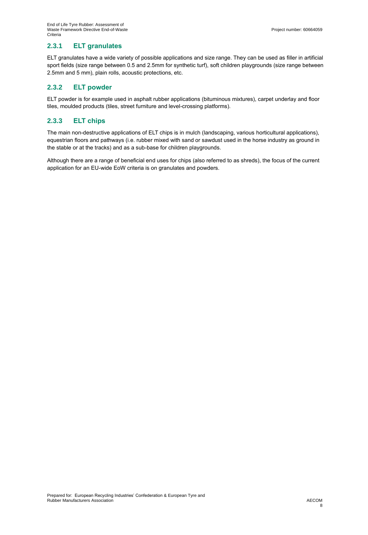### **2.3.1 ELT granulates**

ELT granulates have a wide variety of possible applications and size range. They can be used as filler in artificial sport fields (size range between 0.5 and 2.5mm for synthetic turf), soft children playgrounds (size range between 2.5mm and 5 mm), plain rolls, acoustic protections, etc.

### **2.3.2 ELT powder**

ELT powder is for example used in asphalt rubber applications (bituminous mixtures), carpet underlay and floor tiles, moulded products (tiles, street furniture and level-crossing platforms).

### **2.3.3 ELT chips**

The main non-destructive applications of ELT chips is in mulch (landscaping, various horticultural applications), equestrian floors and pathways (i.e. rubber mixed with sand or sawdust used in the horse industry as ground in the stable or at the tracks) and as a sub-base for children playgrounds.

Although there are a range of beneficial end uses for chips (also referred to as shreds), the focus of the current application for an EU-wide EoW criteria is on granulates and powders.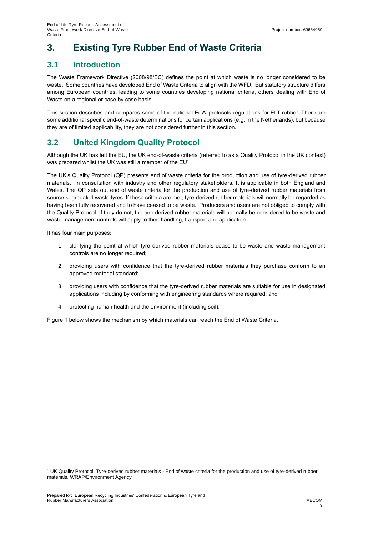# **3. Existing Tyre Rubber End of Waste Criteria**

## **3.1 Introduction**

The Waste Framework Directive (2008/98/EC) defines the point at which waste is no longer considered to be waste. Some countries have developed End of Waste Criteria to align with the WFD. But statutory structure differs among European countries, leading to some countries developing national criteria, others dealing with End of Waste on a regional or case by case basis.

This section describes and compares some of the national EoW protocols regulations for ELT rubber. There are some additional specific end-of-waste determinations for certain applications (e.g. in the Netherlands), but because they are of limited applicability, they are not considered further in this section.

## **3.2 United Kingdom Quality Protocol**

Although the UK has left the EU, the UK end-of-waste criteria (referred to as a Quality Protocol in the UK context) was prepared whilst the UK was still a member of the  $\mathsf{EU}^1$ .

The UK's Quality Protocol (QP) presents end of waste criteria for the production and use of tyre-derived rubber materials. in consultation with industry and other regulatory stakeholders. It is applicable in both England and Wales. The QP sets out end of waste criteria for the production and use of tyre-derived rubber materials from source-segregated waste tyres. If these criteria are met, tyre-derived rubber materials will normally be regarded as having been fully recovered and to have ceased to be waste. Producers and users are not obliged to comply with the Quality Protocol. If they do not, the tyre derived rubber materials will normally be considered to be waste and waste management controls will apply to their handling, transport and application.

It has four main purposes:

- 1. clarifying the point at which tyre derived rubber materials cease to be waste and waste management controls are no longer required;
- 2. providing users with confidence that the tyre-derived rubber materials they purchase conform to an approved material standard;
- 3. providing users with confidence that the tyre-derived rubber materials are suitable for use in designated applications including by conforming with engineering standards where required; and
- 4. protecting human health and the environment (including soil).

Figure 1 below shows the mechanism by which materials can reach the End of Waste Criteria.

<sup>1</sup> UK Quality Protocol. Tyre-derived rubber materials - End of waste criteria for the production and use of tyre-derived rubber materials, WRAP/Environment Agency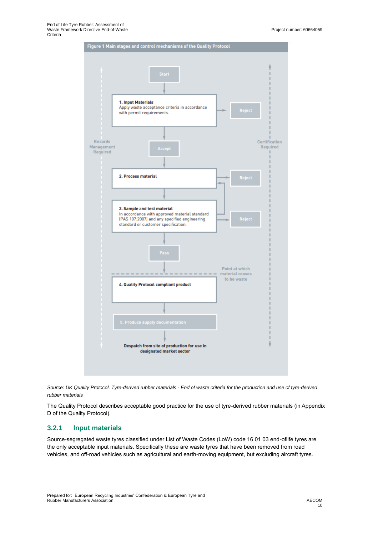

*Source: UK Quality Protocol. Tyre-derived rubber materials - End of waste criteria for the production and use of tyre-derived rubber materials*

The Quality Protocol describes acceptable good practice for the use of tyre-derived rubber materials (in Appendix D of the Quality Protocol).

### **3.2.1 Input materials**

Source-segregated waste tyres classified under List of Waste Codes (LoW) code 16 01 03 end-oflife tyres are the only acceptable input materials. Specifically these are waste tyres that have been removed from road vehicles, and off-road vehicles such as agricultural and earth-moving equipment, but excluding aircraft tyres.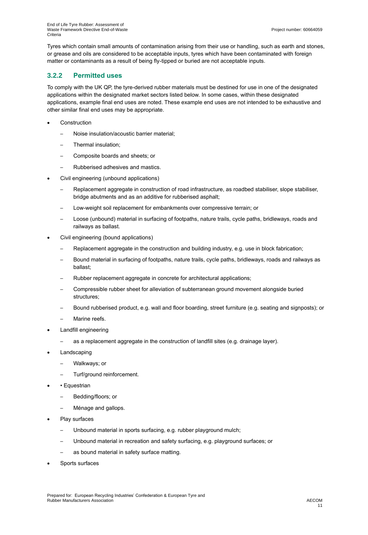Tyres which contain small amounts of contamination arising from their use or handling, such as earth and stones, or grease and oils are considered to be acceptable inputs, tyres which have been contaminated with foreign matter or contaminants as a result of being fly-tipped or buried are not acceptable inputs.

### **3.2.2 Permitted uses**

To comply with the UK QP, the tyre-derived rubber materials must be destined for use in one of the designated applications within the designated market sectors listed below. In some cases, within these designated applications, example final end uses are noted. These example end uses are not intended to be exhaustive and other similar final end uses may be appropriate.

- **Construction** 
	- Noise insulation/acoustic barrier material;
	- Thermal insulation:
	- Composite boards and sheets; or
	- Rubberised adhesives and mastics.
- Civil engineering (unbound applications)
	- Replacement aggregate in construction of road infrastructure, as roadbed stabiliser, slope stabiliser, bridge abutments and as an additive for rubberised asphalt;
	- Low-weight soil replacement for embankments over compressive terrain; or
	- Loose (unbound) material in surfacing of footpaths, nature trails, cycle paths, bridleways, roads and railways as ballast.
- Civil engineering (bound applications)
	- Replacement aggregate in the construction and building industry, e.g. use in block fabrication;
	- Bound material in surfacing of footpaths, nature trails, cycle paths, bridleways, roads and railways as ballast;
	- Rubber replacement aggregate in concrete for architectural applications;
	- ─ Compressible rubber sheet for alleviation of subterranean ground movement alongside buried structures;
	- Bound rubberised product, e.g. wall and floor boarding, street furniture (e.g. seating and signposts); or
	- Marine reefs.
- Landfill engineering
	- ─ as a replacement aggregate in the construction of landfill sites (e.g. drainage layer).
- **Landscaping** 
	- ─ Walkways; or
	- Turf/ground reinforcement.
- Equestrian
	- ─ Bedding/floors; or
	- Ménage and gallops.
- Play surfaces
	- Unbound material in sports surfacing, e.g. rubber playground mulch;
	- ─ Unbound material in recreation and safety surfacing, e.g. playground surfaces; or
	- as bound material in safety surface matting.
- Sports surfaces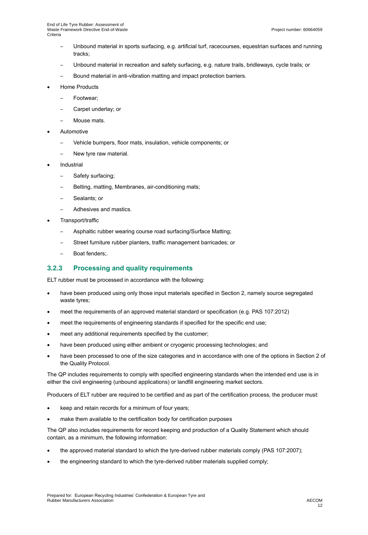- Unbound material in sports surfacing, e.g. artificial turf, racecourses, equestrian surfaces and running tracks;
- Unbound material in recreation and safety surfacing, e.g. nature trails, bridleways, cycle trails; or
- Bound material in anti-vibration matting and impact protection barriers.
- Home Products
	- Footwear;
	- Carpet underlay; or
	- Mouse mats.
- **Automotive** 
	- Vehicle bumpers, floor mats, insulation, vehicle components; or
	- New tyre raw material.
- **Industrial** 
	- ─ Safety surfacing;
	- Belting, matting, Membranes, air-conditioning mats;
	- Sealants; or
	- Adhesives and mastics.
- Transport/traffic
	- Asphaltic rubber wearing course road surfacing/Surface Matting;
	- Street furniture rubber planters, traffic management barricades; or
	- Boat fenders:.

### **3.2.3 Processing and quality requirements**

ELT rubber must be processed in accordance with the following:

- have been produced using only those input materials specified in Section 2, namely source segregated waste tyres;
- meet the requirements of an approved material standard or specification (e.g. PAS 107:2012)
- meet the requirements of engineering standards if specified for the specific end use;
- meet any additional requirements specified by the customer;
- have been produced using either ambient or cryogenic processing technologies; and
- have been processed to one of the size categories and in accordance with one of the options in Section 2 of the Quality Protocol.

The QP includes requirements to comply with specified engineering standards when the intended end use is in either the civil engineering (unbound applications) or landfill engineering market sectors.

Producers of ELT rubber are required to be certified and as part of the certification process, the producer must:

- keep and retain records for a minimum of four years;
- make them available to the certification body for certification purposes

The QP also includes requirements for record keeping and production of a Quality Statement which should contain, as a minimum, the following information:

- the approved material standard to which the tyre-derived rubber materials comply (PAS 107:2007);
- the engineering standard to which the tyre-derived rubber materials supplied comply;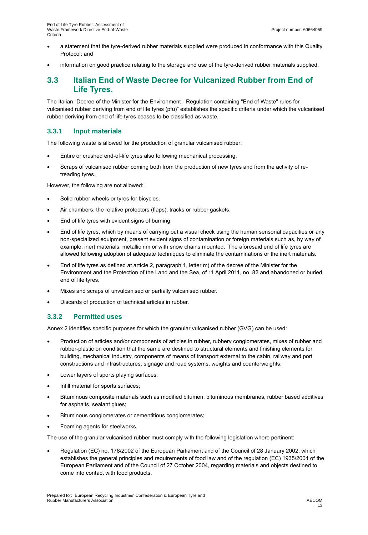- a statement that the tyre-derived rubber materials supplied were produced in conformance with this Quality Protocol; and
- information on good practice relating to the storage and use of the tyre-derived rubber materials supplied.

## **3.3 Italian End of Waste Decree for Vulcanized Rubber from End of Life Tyres.**

The Italian "Decree of the Minister for the Environment - Regulation containing "End of Waste" rules for vulcanised rubber deriving from end of life tyres (pfu)" establishes the specific criteria under which the vulcanised rubber deriving from end of life tyres ceases to be classified as waste.

### **3.3.1 Input materials**

The following waste is allowed for the production of granular vulcanised rubber:

- Entire or crushed end-of-life tyres also following mechanical processing.
- Scraps of vulcanised rubber coming both from the production of new tyres and from the activity of retreading tyres.

However, the following are not allowed:

- Solid rubber wheels or tyres for bicycles.
- Air chambers, the relative protectors (flaps), tracks or rubber gaskets.
- End of life tyres with evident signs of burning.
- End of life tyres, which by means of carrying out a visual check using the human sensorial capacities or any non-specialized equipment, present evident signs of contamination or foreign materials such as, by way of example, inert materials, metallic rim or with snow chains mounted. The aforesaid end of life tyres are allowed following adoption of adequate techniques to eliminate the contaminations or the inert materials.
- End of life tyres as defined at article 2, paragraph 1, letter m) of the decree of the Minister for the Environment and the Protection of the Land and the Sea, of 11 April 2011, no. 82 and abandoned or buried end of life tyres.
- Mixes and scraps of unvulcanised or partially vulcanised rubber.
- Discards of production of technical articles in rubber.

### **3.3.2 Permitted uses**

Annex 2 identifies specific purposes for which the granular vulcanised rubber (GVG) can be used:

- Production of articles and/or components of articles in rubber, rubbery conglomerates, mixes of rubber and rubber-plastic on condition that the same are destined to structural elements and finishing elements for building, mechanical industry, components of means of transport external to the cabin, railway and port constructions and infrastructures, signage and road systems, weights and counterweights;
- Lower layers of sports playing surfaces;
- Infill material for sports surfaces;
- Bituminous composite materials such as modified bitumen, bituminous membranes, rubber based additives for asphalts, sealant glues;
- Bituminous conglomerates or cementitious conglomerates;
- Foaming agents for steelworks.

The use of the granular vulcanised rubber must comply with the following legislation where pertinent:

• Regulation (EC) no. 178/2002 of the European Parliament and of the Council of 28 January 2002, which establishes the general principles and requirements of food law and of the regulation (EC) 1935/2004 of the European Parliament and of the Council of 27 October 2004, regarding materials and objects destined to come into contact with food products.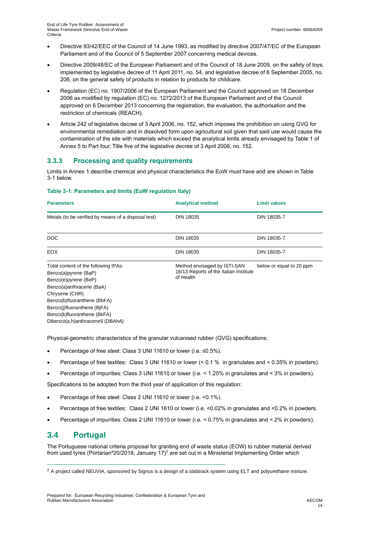- Directive 93/42/EEC of the Council of 14 June 1993, as modified by directive 2007/47/EC of the European Parliament and of the Council of 5 September 2007 concerning medical devices.
- Directive 2009/48/EC of the European Parliament and of the Council of 18 June 2009, on the safety of toys, implemented by legislative decree of 11 April 2011, no. 54, and legislative decree of 6 September 2005, no. 206, on the general safety of products in relation to products for childcare.
- Regulation (EC) no. 1907/2006 of the European Parliament and the Council approved on 18 December 2006 as modified by regulation (EC) no. 1272/2013 of the European Parliament and of the Council approved on 6 December 2013 concerning the registration, the evaluation, the authorisation and the restriction of chemicals (REACH).
- Article 242 of legislative decree of 3 April 2006, no. 152, which imposes the prohibition on using GVG for environmental remediation and in dissolved form upon agricultural soil given that said use would cause the contamination of the site with materials which exceed the analytical limits already envisaged by Table 1 of Annex 5 to Part four, Title five of the legislative decree of 3 April 2006, no. 152.

### **3.3.3 Processing and quality requirements**

Limits in Annex 1 describe chemical and physical characteristics the EoW must have and are shown in [Table](#page-13-0)  [3-1](#page-13-0) below.

#### <span id="page-13-0"></span>**Table 3-1: Parameters and limits (EoW regulation Italy)**

| <b>Parameters</b>                                                                                                                                                                                                                                                  | <b>Analytical method</b>                                                            | <b>Limit values</b>      |
|--------------------------------------------------------------------------------------------------------------------------------------------------------------------------------------------------------------------------------------------------------------------|-------------------------------------------------------------------------------------|--------------------------|
| Metals (to be verified by means of a disposal test)                                                                                                                                                                                                                | <b>DIN 18035</b>                                                                    | DIN 18035-7              |
| DOC                                                                                                                                                                                                                                                                | <b>DIN 18035</b>                                                                    | DIN 18035-7              |
| EOX.                                                                                                                                                                                                                                                               | DIN 18035                                                                           | DIN 18035-7              |
| Total content of the following IPAs:<br>Benzo(a)pyrene (BaP)<br>Benzo(e)pyrene (BeP)<br>Benzo(a)anthracene (BaA)<br>Chrysene (CHR)<br>Benzo(b)fluoranthene (BbFA)<br>Benzo(j)fluoranthene (BjFA)<br>Benzo(k)fluoranthene (BkFA)<br>Dibenzo(a,h)anthracene9 (DBAhA) | Method envisaged by ISTI-SAN<br>16/13 Reports of the Italian Institute<br>of Health | below or equal to 20 ppm |

Physical-geometric characteristics of the granular vulcanised rubber (GVG) specifications:

- Percentage of free steel: Class 3 UNI 11610 or lower (i.e. ≤0.5%).
- Percentage of free textiles: Class 3 UNI 11610 or lower (< 0.1 % in granulates and < 0.35% in powders).
- Percentage of impurities: Class 3 UNI 11610 or lower (i.e. < 1.25% in granulates and < 3% in powders).

Specifications to be adopted from the third year of application of this regulation:

- Percentage of free steel: Class 2 UNI 11610 or lower (i.e. <0.1%).
- Percentage of free textiles: Class 2 UNI 1610 or lower (i.e. <0.02% in granulates and <0.2% in powders.
- Percentage of impurities: Class 2 UNI 11610 or lower (i.e. < 0.75% in granulates and < 2% in powders).

## **3.4 Portugal**

The Portuguese national criteria proposal for granting end of waste status (EOW) to rubber material derived from used tyres (Portarian°20/2018, January 17)<sup>2</sup> are set out in a Ministerial Implementing Order which

 $2$  A project called NEUVIA, sponsored by Signus is a design of a slabtrack system using ELT and polyurethane mixture.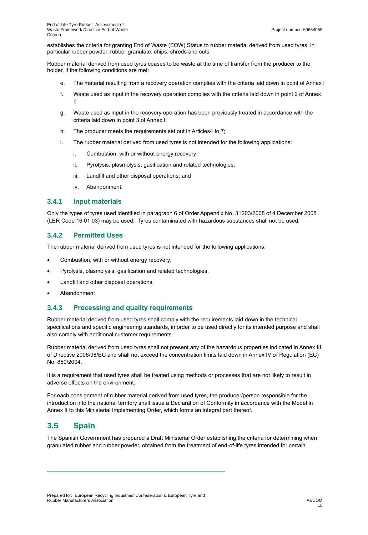establishes the criteria for granting End of Waste (EOW) Status to rubber material derived from used tyres, in particular rubber powder, rubber granulate, chips, shreds and cuts.

Rubber material derived from used tyres ceases to be waste at the time of transfer from the producer to the holder, if the following conditions are met:

- e. The material resulting from a recovery operation complies with the criteria laid down in point of Annex I
- f. Waste used as input in the recovery operation complies with the criteria laid down in point 2 of Annex I;
- g. Waste used as input in the recovery operation has been previously treated in accordance with the criteria laid down in point 3 of Annex I;
- h. The producer meets the requirements set out in Articles4 to 7;
- i. The rubber material derived from used tyres is not intended for the following applications:
	- i. Combustion, with or without energy recovery;
	- ii. Pyrolysis, plasmolysis, gasification and related technologies;
	- iii. Landfill and other disposal operations; and
	- iv. Abandonment.

#### **3.4.1 Input materials**

Only the types of tyres used identified in paragraph 6 of Order Appendix No. 31203/2008 of 4 December 2008 (LER Code 16 01 03) may be used. Tyres contaminated with hazardous substances shall not be used.

### **3.4.2 Permitted Uses**

The rubber material derived from used tyres is not intended for the following applications:

- Combustion, with or without energy recovery.
- Pyrolysis, plasmolysis, gasification and related technologies.
- Landfill and other disposal operations.
- Abandonment

#### **3.4.3 Processing and quality requirements**

Rubber material derived from used tyres shall comply with the requirements laid down in the technical specifications and specific engineering standards, in order to be used directly for its intended purpose and shall also comply with additional customer requirements.

Rubber material derived from used tyres shall not present any of the hazardous properties indicated in Annex III of Directive 2008/98/EC and shall not exceed the concentration limits laid down in Annex IV of Regulation (EC) No. 850/2004.

It is a requirement that used tyres shall be treated using methods or processes that are not likely to result in adverse effects on the environment.

For each consignment of rubber material derived from used tyres, the producer/person responsible for the introduction into the national territory shall issue a Declaration of Conformity in accordance with the Model in Annex II to this Ministerial Implementing Order, which forms an integral part thereof.

## **3.5 Spain**

The Spanish Government has prepared a Draft Ministerial Order establishing the criteria for determining when granulated rubber and rubber powder, obtained from the treatment of end-of-life tyres intended for certain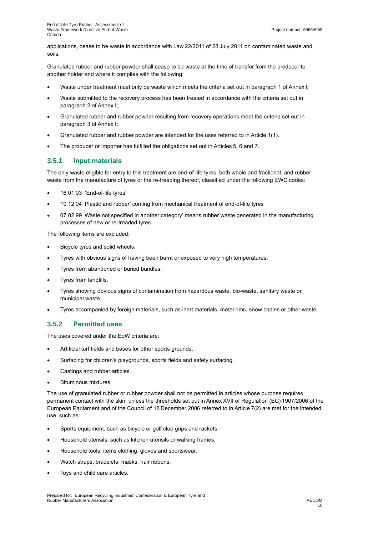applications, cease to be waste in accordance with Law 22/2011 of 28 July 2011 on contaminated waste and soils.

Granulated rubber and rubber powder shall cease to be waste at the time of transfer from the producer to another holder and where it complies with the following:

- Waste under treatment must only be waste which meets the criteria set out in paragraph 1 of Annex I;
- Waste submitted to the recovery process has been treated in accordance with the criteria set out in paragraph 2 of Annex I;
- Granulated rubber and rubber powder resulting from recovery operations meet the criteria set out in paragraph 3 of Annex I;
- Granulated rubber and rubber powder are intended for the uses referred to in Article 1(1).
- The producer or importer has fulfilled the obligations set out in Articles 5, 6 and 7.

### **3.5.1 Input materials**

The only waste eligible for entry to this treatment are end-of-life tyres, both whole and fractional, and rubber waste from the manufacture of tyres or the re-treading thereof, classified under the following EWC codes:

- 16 01 03 'End-of-life tyres'
- 19 12 04 'Plastic and rubber' coming from mechanical treatment of end-of-life tyres
- 07 02 99 'Waste not specified in another category' means rubber waste generated in the manufacturing processes of new or re-treaded tyres

The following items are excluded:

- Bicycle tyres and solid wheels.
- Tyres with obvious signs of having been burnt or exposed to very high temperatures.
- Tyres from abandoned or buried bundles.
- Tyres from landfills.
- Tyres showing obvious signs of contamination from hazardous waste, bio-waste, sanitary waste or municipal waste.
- Tyres accompanied by foreign materials, such as inert materials, metal rims, snow chains or other waste.

### **3.5.2 Permitted uses**

The uses covered under the EoW criteria are:

- Artificial turf fields and bases for other sports grounds.
- Surfacing for children's playgrounds, sports fields and safety surfacing.
- Castings and rubber articles.
- Bituminous mixtures.

The use of granulated rubber or rubber powder shall not be permitted in articles whose purpose requires permanent contact with the skin, unless the thresholds set out in Annex XVII of Regulation (EC) 1907/2006 of the European Parliament and of the Council of 18 December 2006 referred to in Article 7(2) are met for the intended use, such as:

- Sports equipment, such as bicycle or golf club grips and rackets.
- Household utensils, such as kitchen utensils or walking frames.
- Household tools, items clothing, gloves and sportswear.
- Watch straps, bracelets, masks, hair ribbons.
- Toys and child care articles.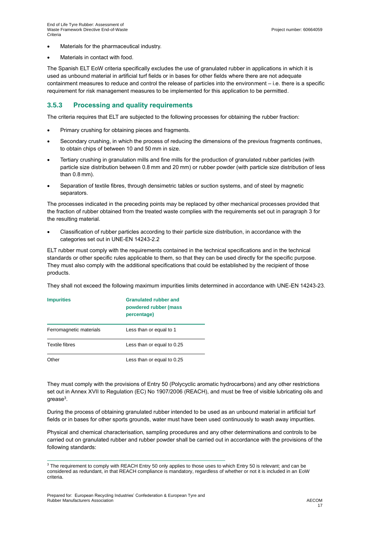- Materials for the pharmaceutical industry.
- Materials in contact with food.

The Spanish ELT EoW criteria specifically excludes the use of granulated rubber in applications in which it is used as unbound material in artificial turf fields or in bases for other fields where there are not adequate containment measures to reduce and control the release of particles into the environment – i.e. there is a specific requirement for risk management measures to be implemented for this application to be permitted.

### **3.5.3 Processing and quality requirements**

The criteria requires that ELT are subjected to the following processes for obtaining the rubber fraction:

- Primary crushing for obtaining pieces and fragments.
- Secondary crushing, in which the process of reducing the dimensions of the previous fragments continues, to obtain chips of between 10 and 50 mm in size.
- Tertiary crushing in granulation mills and fine mills for the production of granulated rubber particles (with particle size distribution between 0.8 mm and 20 mm) or rubber powder (with particle size distribution of less than 0.8 mm).
- Separation of textile fibres, through densimetric tables or suction systems, and of steel by magnetic separators.

The processes indicated in the preceding points may be replaced by other mechanical processes provided that the fraction of rubber obtained from the treated waste complies with the requirements set out in paragraph 3 for the resulting material.

• Classification of rubber particles according to their particle size distribution, in accordance with the categories set out in UNE-EN 14243-2.2

ELT rubber must comply with the requirements contained in the technical specifications and in the technical standards or other specific rules applicable to them, so that they can be used directly for the specific purpose. They must also comply with the additional specifications that could be established by the recipient of those products.

They shall not exceed the following maximum impurities limits determined in accordance with UNE-EN 14243-23.

| <b>Impurities</b>       | <b>Granulated rubber and</b><br>powdered rubber (mass<br>percentage) |
|-------------------------|----------------------------------------------------------------------|
| Ferromagnetic materials | Less than or equal to 1                                              |
| Textile fibres          | Less than or equal to 0.25                                           |
| Other                   | Less than or equal to 0.25                                           |

They must comply with the provisions of Entry 50 (Polycyclic aromatic hydrocarbons) and any other restrictions set out in Annex XVII to Regulation (EC) No 1907/2006 (REACH), and must be free of visible lubricating oils and grease $^3$ .

During the process of obtaining granulated rubber intended to be used as an unbound material in artificial turf fields or in bases for other sports grounds, water must have been used continuously to wash away impurities.

Physical and chemical characterisation, sampling procedures and any other determinations and controls to be carried out on granulated rubber and rubber powder shall be carried out in accordance with the provisions of the following standards:

<sup>&</sup>lt;sup>3</sup> The requirement to comply with REACH Entry 50 only applies to those uses to which Entry 50 is relevant; and can be considered as redundant, in that REACH compliance is mandatory, regardless of whether or not it is included in an EoW criteria.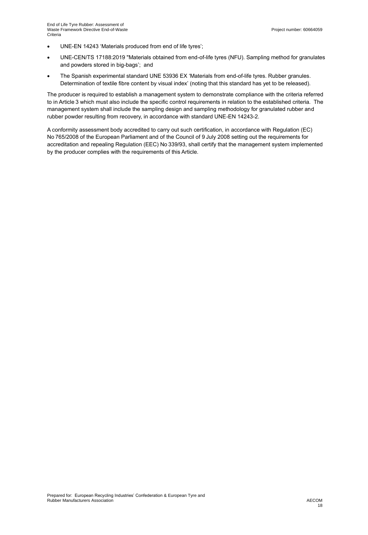- UNE-EN 14243 'Materials produced from end of life tyres';
- UNE-CEN/TS 17188:2019 "Materials obtained from end-of-life tyres (NFU). Sampling method for granulates and powders stored in big-bags'; and
- The Spanish experimental standard UNE 53936 EX 'Materials from end-of-life tyres. Rubber granules. Determination of textile fibre content by visual index' (noting that this standard has yet to be released).

The producer is required to establish a management system to demonstrate compliance with the criteria referred to in Article 3 which must also include the specific control requirements in relation to the established criteria. The management system shall include the sampling design and sampling methodology for granulated rubber and rubber powder resulting from recovery, in accordance with standard UNE-EN 14243-2.

A conformity assessment body accredited to carry out such certification, in accordance with Regulation (EC) No 765/2008 of the European Parliament and of the Council of 9 July 2008 setting out the requirements for accreditation and repealing Regulation (EEC) No 339/93, shall certify that the management system implemented by the producer complies with the requirements of this Article.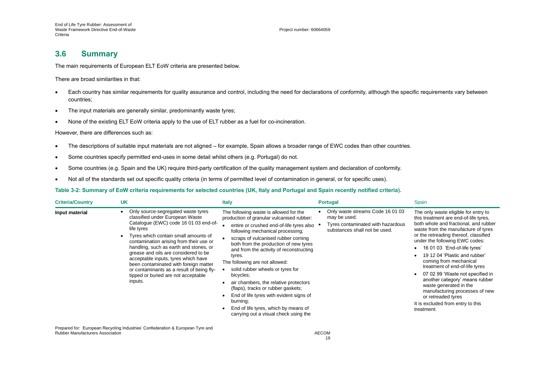End of Life Tyre Rubber: Assessment of Waste Framework Directive End-of-Waste **Criteria** 

#### Project number: 60664059

## **3.6 Summary**

The main requirements of European ELT EoW criteria are presented below.

There are broad similarities in that:

- Each country has similar requirements for quality assurance and control, including the need for declarations of conformity, although the specific requirements vary between countries;
- The input materials are generally similar, predominantly waste tyres;
- None of the existing ELT EoW criteria apply to the use of ELT rubber as a fuel for co-incineration.

However, there are differences such as:

- The descriptions of suitable input materials are not aligned for example, Spain allows a broader range of EWC codes than other countries.
- Some countries specify permitted end-uses in some detail whilst others (e.g. Portugal) do not.
- Some countries (e.g. Spain and the UK) require third-party certification of the quality management system and declaration of conformity.
- Not all of the standards set out specific quality criteria (in terms of permitted level of contamination in general, or for specific uses).

#### **Table 3-2: Summary of EoW criteria requirements for selected countries (UK, Italy and Portugal and Spain recently notified criteria).**

| <b>Criteria/Country</b> | UK                                                                                                                                                                                                                                                                                                                                                                                                                                                                               | <b>Italy</b>                                                                                                                                                                                                                                                                                                                                                                                                                                                                                                                                                                                                      | <b>Portugal</b>                                                                                                        | Spain                                                                                                                                                                                                                                                                                                                                                                                                                                                                                                                                                                            |
|-------------------------|----------------------------------------------------------------------------------------------------------------------------------------------------------------------------------------------------------------------------------------------------------------------------------------------------------------------------------------------------------------------------------------------------------------------------------------------------------------------------------|-------------------------------------------------------------------------------------------------------------------------------------------------------------------------------------------------------------------------------------------------------------------------------------------------------------------------------------------------------------------------------------------------------------------------------------------------------------------------------------------------------------------------------------------------------------------------------------------------------------------|------------------------------------------------------------------------------------------------------------------------|----------------------------------------------------------------------------------------------------------------------------------------------------------------------------------------------------------------------------------------------------------------------------------------------------------------------------------------------------------------------------------------------------------------------------------------------------------------------------------------------------------------------------------------------------------------------------------|
| Input material          | Only source-segregated waste tyres<br>classified under European Waste<br>Catalogue (EWC) code 16 01 03 end-of-<br>life tyres<br>Tyres which contain small amounts of<br>contamination arising from their use or<br>handling, such as earth and stones, or<br>grease and oils are considered to be<br>acceptable inputs, tyres which have<br>been contaminated with foreign matter<br>or contaminants as a result of being fly-<br>tipped or buried are not acceptable<br>inputs. | The following waste is allowed for the<br>production of granular vulcanised rubber:<br>entire or crushed end-of-life tyres also<br>following mechanical processing;<br>scraps of vulcanised rubber coming<br>both from the production of new tyres<br>and from the activity of reconstructing<br>tyres.<br>The following are not allowed:<br>solid rubber wheels or tyres for<br>bicycles;<br>air chambers, the relative protectors<br>(flaps), tracks or rubber gaskets;<br>End of life tyres with evident signs of<br>burning;<br>End of life tyres, which by means of<br>carrying out a visual check using the | Only waste streams Code 16 01 03<br>may be used.<br>Tyres contaminated with hazardous<br>substances shall not be used. | The only waste eligible for entry to<br>this treatment are end-of-life tyres,<br>both whole and fractional, and rubber<br>waste from the manufacture of tyres<br>or the retreading thereof, classified<br>under the following EWC codes:<br>16 01 03 'End-of-life tyres'<br>19 12 04 'Plastic and rubber'<br>coming from mechanical<br>treatment of end-of-life tyres<br>07 02 99 'Waste not specified in<br>another category' means rubber<br>waste generated in the<br>manufacturing processes of new<br>or retreaded tyres<br>It is excluded from entry to this<br>treatment: |

Prepared for: European Recycling Industries' Confederation & European Tyre and Rubber Manufacturers Association **AECOM** AECOM AECOM ACCOM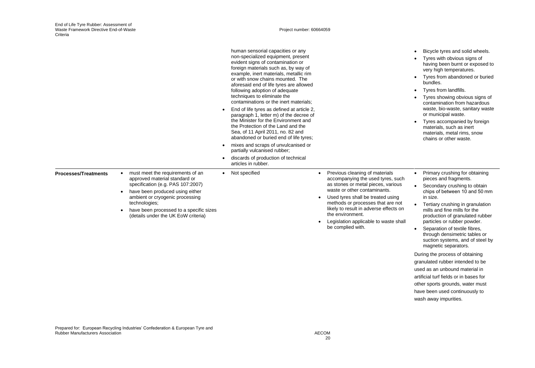Project number: 60664059

|                             |                                                                                                                                                                                                                                                                                                           | human sensorial capacities or any<br>non-specialized equipment, present<br>evident signs of contamination or<br>foreign materials such as, by way of<br>example, inert materials, metallic rim<br>or with snow chains mounted. The<br>aforesaid end of life tyres are allowed<br>following adoption of adequate<br>techniques to eliminate the<br>contaminations or the inert materials:<br>End of life tyres as defined at article 2,<br>paragraph 1, letter m) of the decree of<br>the Minister for the Environment and<br>the Protection of the Land and the<br>Sea, of 11 April 2011, no. 82 and<br>abandoned or buried end of life tyres;<br>mixes and scraps of unvulcanised or<br>$\bullet$<br>partially vulcanised rubber;<br>discards of production of technical<br>$\bullet$<br>articles in rubber. |                                                                                                                                                                                                                                                                                                                                                              | Bicycle tyres and solid wheels.<br>Tyres with obvious signs of<br>having been burnt or exposed to<br>very high temperatures.<br>Tyres from abandoned or buried<br>$\bullet$<br>bundles.<br>Tyres from landfills.<br>Tyres showing obvious signs of<br>contamination from hazardous<br>waste, bio-waste, sanitary waste<br>or municipal waste.<br>Tyres accompanied by foreign<br>materials, such as inert<br>materials, metal rims, snow<br>chains or other waste.                                                                                                                                                                                                                                  |
|-----------------------------|-----------------------------------------------------------------------------------------------------------------------------------------------------------------------------------------------------------------------------------------------------------------------------------------------------------|---------------------------------------------------------------------------------------------------------------------------------------------------------------------------------------------------------------------------------------------------------------------------------------------------------------------------------------------------------------------------------------------------------------------------------------------------------------------------------------------------------------------------------------------------------------------------------------------------------------------------------------------------------------------------------------------------------------------------------------------------------------------------------------------------------------|--------------------------------------------------------------------------------------------------------------------------------------------------------------------------------------------------------------------------------------------------------------------------------------------------------------------------------------------------------------|-----------------------------------------------------------------------------------------------------------------------------------------------------------------------------------------------------------------------------------------------------------------------------------------------------------------------------------------------------------------------------------------------------------------------------------------------------------------------------------------------------------------------------------------------------------------------------------------------------------------------------------------------------------------------------------------------------|
| <b>Processes/Treatments</b> | must meet the requirements of an<br>$\bullet$<br>approved material standard or<br>specification (e.g. PAS 107:2007)<br>have been produced using either<br>$\bullet$<br>ambient or cryogenic processing<br>technologies;<br>have been processed to a specific sizes<br>(details under the UK EoW criteria) | • Not specified                                                                                                                                                                                                                                                                                                                                                                                                                                                                                                                                                                                                                                                                                                                                                                                               | Previous cleaning of materials<br>accompanying the used tyres, such<br>as stones or metal pieces, various<br>waste or other contaminants.<br>Used tyres shall be treated using<br>$\bullet$<br>methods or processes that are not<br>likely to result in adverse effects on<br>the environment.<br>Legislation applicable to waste shall<br>be complied with. | Primary crushing for obtaining<br>$\bullet$<br>pieces and fragments.<br>• Secondary crushing to obtain<br>chips of between 10 and 50 mm<br>in size.<br>Tertiary crushing in granulation<br>$\bullet$<br>mills and fine mills for the<br>production of granulated rubber<br>particles or rubber powder.<br>Separation of textile fibres,<br>$\bullet$<br>through densimetric tables or<br>suction systems, and of steel by<br>magnetic separators.<br>During the process of obtaining<br>granulated rubber intended to be<br>used as an unbound material in<br>artificial turf fields or in bases for<br>other sports grounds, water must<br>have been used continuously to<br>wash away impurities. |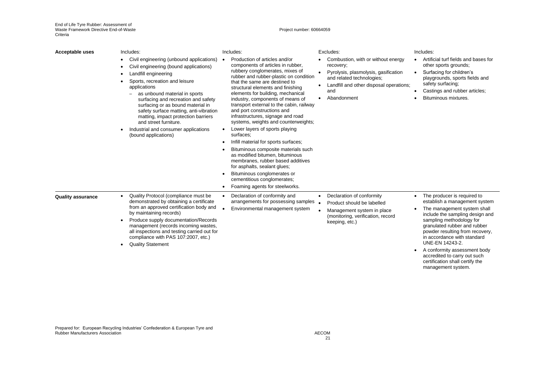Project number: 60664059

| <b>Acceptable uses</b>   | Includes:<br>Civil engineering (unbound applications)<br>٠<br>Civil engineering (bound applications)<br>Landfill engineering<br>Sports, recreation and leisure<br>applications<br>as unbound material in sports<br>surfacing and recreation and safety<br>surfacing or as bound material in<br>safety surface matting, anti-vibration<br>matting, impact protection barriers<br>and street furniture.<br>Industrial and consumer applications<br>(bound applications) | Includes:<br>Production of articles and/or<br>$\bullet$<br>components of articles in rubber,<br>rubbery conglomerates, mixes of<br>rubber and rubber-plastic on condition<br>that the same are destined to<br>structural elements and finishing<br>elements for building, mechanical<br>industry, components of means of<br>transport external to the cabin, railway<br>and port constructions and<br>infrastructures, signage and road<br>systems, weights and counterweights;<br>Lower layers of sports playing<br>$\bullet$<br>surfaces:<br>Infill material for sports surfaces;<br>Bituminous composite materials such<br>as modified bitumen, bituminous<br>membranes, rubber based additives<br>for asphalts, sealant glues;<br>Bituminous conglomerates or<br>cementitious conglomerates;<br>Foaming agents for steelworks. | Excludes:<br>Combustion, with or without energy<br>recovery;<br>Pyrolysis, plasmolysis, gasification<br>and related technologies;<br>Landfill and other disposal operations;<br>$\bullet$<br>and<br>Abandonment | Includes:<br>Artificial turf fields and bases for<br>other sports grounds;<br>Surfacing for children's<br>$\bullet$<br>playgrounds, sports fields and<br>safety surfacing;<br>Castings and rubber articles;<br>Bituminous mixtures.                                                                                                                                                                                                |
|--------------------------|-----------------------------------------------------------------------------------------------------------------------------------------------------------------------------------------------------------------------------------------------------------------------------------------------------------------------------------------------------------------------------------------------------------------------------------------------------------------------|------------------------------------------------------------------------------------------------------------------------------------------------------------------------------------------------------------------------------------------------------------------------------------------------------------------------------------------------------------------------------------------------------------------------------------------------------------------------------------------------------------------------------------------------------------------------------------------------------------------------------------------------------------------------------------------------------------------------------------------------------------------------------------------------------------------------------------|-----------------------------------------------------------------------------------------------------------------------------------------------------------------------------------------------------------------|------------------------------------------------------------------------------------------------------------------------------------------------------------------------------------------------------------------------------------------------------------------------------------------------------------------------------------------------------------------------------------------------------------------------------------|
| <b>Quality assurance</b> | Quality Protocol (compliance must be<br>$\bullet$<br>demonstrated by obtaining a certificate<br>from an approved certification body and<br>by maintaining records)<br>Produce supply documentation/Records<br>management (records incoming wastes,<br>all inspections and testing carried out for<br>compliance with PAS 107:2007, etc.)<br><b>Quality Statement</b>                                                                                                  | Declaration of conformity and<br>$\bullet$<br>arrangements for possessing samples<br>Environmental management system                                                                                                                                                                                                                                                                                                                                                                                                                                                                                                                                                                                                                                                                                                               | Declaration of conformity<br>$\bullet$<br>Product should be labelled<br>Management system in place<br>(monitoring, verification, record<br>keeping, etc.)                                                       | The producer is required to<br>$\bullet$<br>establish a management system<br>The management system shall<br>$\bullet$<br>include the sampling design and<br>sampling methodology for<br>granulated rubber and rubber<br>powder resulting from recovery,<br>in accordance with standard<br>UNE-EN 14243-2.<br>A conformity assessment body<br>accredited to carry out such<br>certification shall certify the<br>management system. |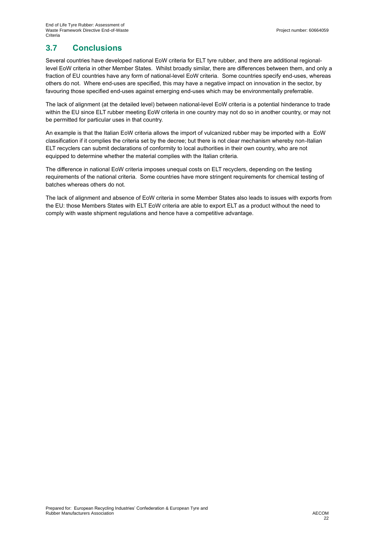## **3.7 Conclusions**

Several countries have developed national EoW criteria for ELT tyre rubber, and there are additional regionallevel EoW criteria in other Member States. Whilst broadly similar, there are differences between them, and only a fraction of EU countries have any form of national-level EoW criteria. Some countries specify end-uses, whereas others do not. Where end-uses are specified, this may have a negative impact on innovation in the sector, by favouring those specified end-uses against emerging end-uses which may be environmentally preferrable.

The lack of alignment (at the detailed level) between national-level EoW criteria is a potential hinderance to trade within the EU since ELT rubber meeting EoW criteria in one country may not do so in another country, or may not be permitted for particular uses in that country.

An example is that the Italian EoW criteria allows the import of vulcanized rubber may be imported with a EoW classification if it complies the criteria set by the decree; but there is not clear mechanism whereby non-Italian ELT recyclers can submit declarations of conformity to local authorities in their own country, who are not equipped to determine whether the material complies with the Italian criteria.

The difference in national EoW criteria imposes unequal costs on ELT recyclers, depending on the testing requirements of the national criteria. Some countries have more stringent requirements for chemical testing of batches whereas others do not.

The lack of alignment and absence of EoW criteria in some Member States also leads to issues with exports from the EU: those Members States with ELT EoW criteria are able to export ELT as a product without the need to comply with waste shipment regulations and hence have a competitive advantage.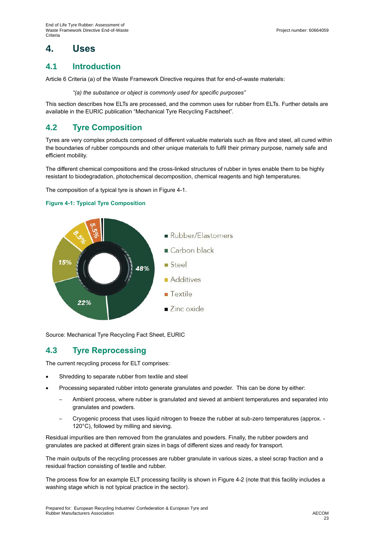# **4. Uses**

## **4.1 Introduction**

Article 6 Criteria (a) of the Waste Framework Directive requires that for end-of-waste materials:

*"(a) the substance or object is commonly used for specific purposes"*

This section describes how ELTs are processed, and the common uses for rubber from ELTs. Further details are available in the EURIC publication "Mechanical Tyre Recycling Factsheet".

## **4.2 Tyre Composition**

Tyres are very complex products composed of different valuable materials such as fibre and steel, all cured within the boundaries of rubber compounds and other unique materials to fulfil their primary purpose, namely safe and efficient mobility.

The different chemical compositions and the cross-linked structures of rubber in tyres enable them to be highly resistant to biodegradation, photochemical decomposition, chemical reagents and high temperatures.

The composition of a typical tyre is shown i[n Figure 4-1.](#page-22-0)

#### <span id="page-22-0"></span>**Figure 4-1: Typical Tyre Composition**



Source: Mechanical Tyre Recycling Fact Sheet, EURIC

## **4.3 Tyre Reprocessing**

The current recycling process for ELT comprises:

- Shredding to separate rubber from textile and steel
- Processing separated rubber intoto generate granulates and powder. This can be done by either:
	- Ambient process, where rubber is granulated and sieved at ambient temperatures and separated into granulates and powders.
	- ─ Cryogenic process that uses liquid nitrogen to freeze the rubber at sub-zero temperatures (approx. 120°C), followed by milling and sieving.

Residual impurities are then removed from the granulates and powders. Finally, the rubber powders and granulates are packed at different grain sizes in bags of different sizes and ready for transport.

The main outputs of the recycling processes are rubber granulate in various sizes, a steel scrap fraction and a residual fraction consisting of textile and rubber.

The process flow for an example ELT processing facility is shown in [Figure 4-2](#page-23-0) (note that this facility includes a washing stage which is not typical practice in the sector).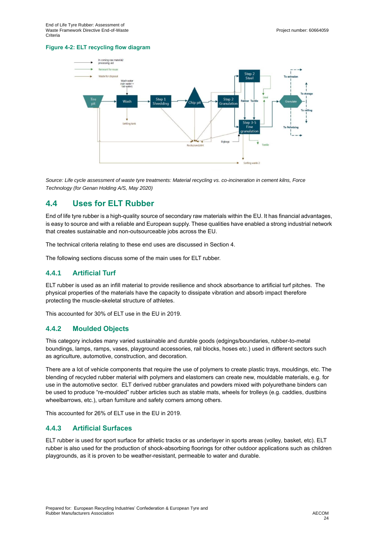#### <span id="page-23-0"></span>**Figure 4-2: ELT recycling flow diagram**



*Source: Life cycle assessment of waste tyre treatments: Material recycling vs. co-incineration in cement kilns, Force Technology (for Genan Holding A/S, May 2020)*

## **4.4 Uses for ELT Rubber**

End of life tyre rubber is a high-quality source of secondary raw materials within the EU. It has financial advantages, is easy to source and with a reliable and European supply. These qualities have enabled a strong industrial network that creates sustainable and non-outsourceable jobs across the EU.

The technical criteria relating to these end uses are discussed in Section 4.

The following sections discuss some of the main uses for ELT rubber.

### **4.4.1 Artificial Turf**

ELT rubber is used as an infill material to provide resilience and shock absorbance to artificial turf pitches. The physical properties of the materials have the capacity to dissipate vibration and absorb impact therefore protecting the muscle-skeletal structure of athletes.

This accounted for 30% of ELT use in the EU in 2019.

#### **4.4.2 Moulded Objects**

This category includes many varied sustainable and durable goods (edgings/boundaries, rubber-to-metal boundings, lamps, ramps, vases, playground accessories, rail blocks, hoses etc.) used in different sectors such as agriculture, automotive, construction, and decoration.

There are a lot of vehicle components that require the use of polymers to create plastic trays, mouldings, etc. The blending of recycled rubber material with polymers and elastomers can create new, mouldable materials, e.g. for use in the automotive sector. ELT derived rubber granulates and powders mixed with polyurethane binders can be used to produce "re-moulded" rubber articles such as stable mats, wheels for trolleys (e.g. caddies, dustbins wheelbarrows, etc.), urban furniture and safety corners among others.

This accounted for 26% of ELT use in the EU in 2019.

### **4.4.3 Artificial Surfaces**

ELT rubber is used for sport surface for athletic tracks or as underlayer in sports areas (volley, basket, etc). ELT rubber is also used for the production of shock-absorbing floorings for other outdoor applications such as children playgrounds, as it is proven to be weather-resistant, permeable to water and durable.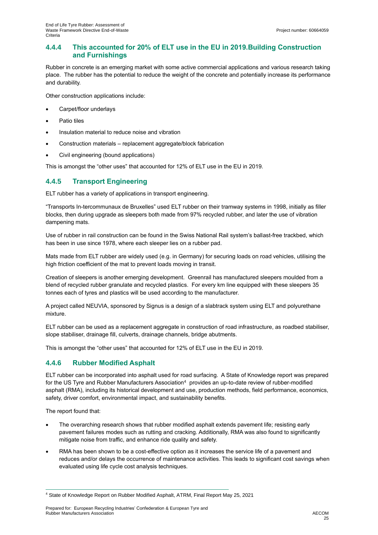### **4.4.4 This accounted for 20% of ELT use in the EU in 2019.Building Construction and Furnishings**

Rubber in concrete is an emerging market with some active commercial applications and various research taking place. The rubber has the potential to reduce the weight of the concrete and potentially increase its performance and durability.

Other construction applications include:

- Carpet/floor underlays
- Patio tiles
- Insulation material to reduce noise and vibration
- Construction materials replacement aggregate/block fabrication
- Civil engineering (bound applications)

This is amongst the "other uses" that accounted for 12% of ELT use in the EU in 2019.

### **4.4.5 Transport Engineering**

ELT rubber has a variety of applications in transport engineering.

"Transports In-tercommunaux de Bruxelles" used ELT rubber on their tramway systems in 1998, initially as filler blocks, then during upgrade as sleepers both made from 97% recycled rubber, and later the use of vibration dampening mats.

Use of rubber in rail construction can be found in the Swiss National Rail system's ballast-free trackbed, which has been in use since 1978, where each sleeper lies on a rubber pad.

Mats made from ELT rubber are widely used (e.g. in Germany) for securing loads on road vehicles, utilising the high friction coefficient of the mat to prevent loads moving in transit.

Creation of sleepers is another emerging development. Greenrail has manufactured sleepers moulded from a blend of recycled rubber granulate and recycled plastics. For every km line equipped with these sleepers 35 tonnes each of tyres and plastics will be used according to the manufacturer.

A project called NEUVIA, sponsored by Signus is a design of a slabtrack system using ELT and polyurethane mixture.

ELT rubber can be used as a replacement aggregate in construction of road infrastructure, as roadbed stabiliser, slope stabiliser, drainage fill, culverts, drainage channels, bridge abutments.

This is amongst the "other uses" that accounted for 12% of ELT use in the EU in 2019.

### **4.4.6 Rubber Modified Asphalt**

ELT rubber can be incorporated into asphalt used for road surfacing. A State of Knowledge report was prepared for the US Tyre and Rubber Manufacturers Association<sup>4</sup> provides an up-to-date review of rubber-modified asphalt (RMA), including its historical development and use, production methods, field performance, economics, safety, driver comfort, environmental impact, and sustainability benefits.

The report found that:

- The overarching research shows that rubber modified asphalt extends pavement life; resisting early pavement failures modes such as rutting and cracking. Additionally, RMA was also found to significantly mitigate noise from traffic, and enhance ride quality and safety.
- RMA has been shown to be a cost-effective option as it increases the service life of a pavement and reduces and/or delays the occurrence of maintenance activities. This leads to significant cost savings when evaluated using life cycle cost analysis techniques.

<sup>4</sup> State of Knowledge Report on Rubber Modified Asphalt, ATRM, Final Report May 25, 2021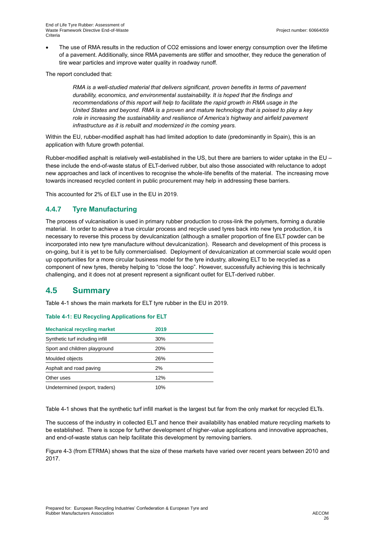The use of RMA results in the reduction of CO2 emissions and lower energy consumption over the lifetime of a pavement. Additionally, since RMA pavements are stiffer and smoother, they reduce the generation of tire wear particles and improve water quality in roadway runoff.

The report concluded that:

*RMA is a well-studied material that delivers significant, proven benefits in terms of pavement durability, economics, and environmental sustainability. It is hoped that the findings and*  recommendations of this report will help to facilitate the rapid growth in RMA usage in the *United States and beyond. RMA is a proven and mature technology that is poised to play a key role in increasing the sustainability and resilience of America's highway and airfield pavement infrastructure as it is rebuilt and modernized in the coming years.*

Within the EU, rubber-modified asphalt has had limited adoption to date (predominantly in Spain), this is an application with future growth potential.

Rubber-modified asphalt is relatively well-established in the US, but there are barriers to wider uptake in the EU – these include the end-of-waste status of ELT-derived rubber, but also those associated with reluctance to adopt new approaches and lack of incentives to recognise the whole-life benefits of the material. The increasing move towards increased recycled content in public procurement may help in addressing these barriers.

This accounted for 2% of ELT use in the EU in 2019.

### **4.4.7 Tyre Manufacturing**

The process of vulcanisation is used in primary rubber production to cross-link the polymers, forming a durable material. In order to achieve a true circular process and recycle used tyres back into new tyre production, it is necessary to reverse this process by devulcanization (although a smaller proportion of fine ELT powder can be incorporated into new tyre manufacture without devulcanization). Research and development of this process is on-going, but it is yet to be fully commercialised. Deployment of devulcanization at commercial scale would open up opportunities for a more circular business model for the tyre industry, allowing ELT to be recycled as a component of new tyres, thereby helping to "close the loop". However, successfully achieving this is technically challenging, and it does not at present represent a significant outlet for ELT-derived rubber.

## **4.5 Summary**

[Table 4-1](#page-25-0) shows the main markets for ELT tyre rubber in the EU in 2019.

| <b>Mechanical recycling market</b> | 2019 |  |
|------------------------------------|------|--|
| Synthetic turf including infill    | 30%  |  |
| Sport and children playground      | 20%  |  |
| Moulded objects                    | 26%  |  |
| Asphalt and road paving            | 2%   |  |
| Other uses                         | 12%  |  |
| Undetermined (export, traders)     | 10%  |  |

#### <span id="page-25-0"></span>**Table 4-1: EU Recycling Applications for ELT**

[Table 4-1](#page-25-0) shows that the synthetic turf infill market is the largest but far from the only market for recycled ELTs.

The success of the industry in collected ELT and hence their availability has enabled mature recycling markets to be established. There is scope for further development of higher-value applications and innovative approaches, and end-of-waste status can help facilitate this development by removing barriers.

[Figure 4-3](#page-26-0) (from ETRMA) shows that the size of these markets have varied over recent years between 2010 and 2017.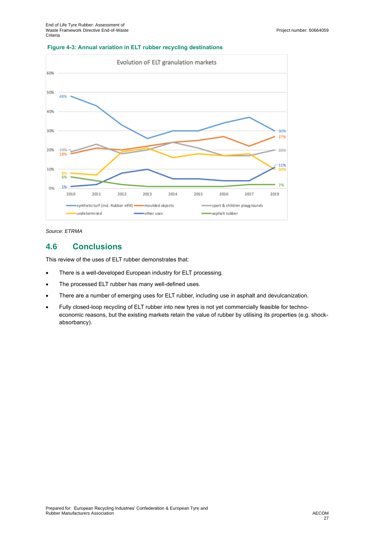#### <span id="page-26-0"></span>**Figure 4-3: Annual variation in ELT rubber recycling destinations**



*Source: ETRMA*

## **4.6 Conclusions**

This review of the uses of ELT rubber demonstrates that:

- There is a well-developed European industry for ELT processing.
- The processed ELT rubber has many well-defined uses.
- There are a number of emerging uses for ELT rubber, including use in asphalt and devulcanization.
- Fully closed-loop recycling of ELT rubber into new tyres is not yet commercially feasible for technoeconomic reasons, but the existing markets retain the value of rubber by utilising its properties (e.g. shockabsorbancy).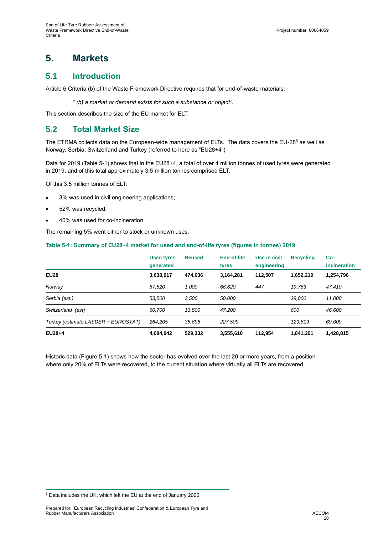# **5. Markets**

### **5.1 Introduction**

Article 6 Criteria (b) of the Waste Framework Directive requires that for end-of-waste materials:

*" (b) a market or demand exists for such a substance or object".*

This section describes the size of the EU market for ELT.

## **5.2 Total Market Size**

The ETRMA collects data on the European-wide management of ELTs. The data covers the EU-28<sup>5</sup> as well as Norway, Serbia, Switzerland and Turkey (referred to here as "EU28+4")

Data for 2019 [\(Table 5-1\)](#page-27-0) shows that in the EU28+4, a total of over 4 million tonnes of used tyres were generated in 2019, and of this total approximately 3.5 million tonnes comprised ELT.

Of this 3.5 million tonnes of ELT:

- 3% was used in civil engineering applications;
- 52% was recycled;
- 40% was used for co-incineration.

The remaining 5% went either to stock or unknown uses.

#### <span id="page-27-0"></span>**Table 5-1: Summary of EU28+4 market for used and end-of-life tyres (figures in tonnes) 2019**

|                                     | <b>Used tyres</b><br>generated | <b>Reused</b> | <b>End-of-life</b><br>tyres | Use in civil<br>engineering | <b>Recycling</b> | Co-<br><i>incineration</i> |
|-------------------------------------|--------------------------------|---------------|-----------------------------|-----------------------------|------------------|----------------------------|
| <b>EU28</b>                         | 3,638,917                      | 474.636       | 3.164.281                   | 112.507                     | 1,652,219        | 1,254,796                  |
| Norway                              | 67.620                         | 1.000         | 66.620                      | 447                         | 19.763           | 47.410                     |
| Serbia (est.)                       | 53.500                         | 3.500         | 50.000                      |                             | 39.000           | 11.000                     |
| Switzerland (est)                   | 60.700                         | 13,500        | 47,200                      |                             | 600              | 46,600                     |
| Turkey (estimate LASDER + EUROSTAT) | 264.205                        | 36.696        | 227.509                     |                             | 129.619          | 69.009                     |
| $EU28+4$                            | 4,084,942                      | 529,332       | 3,555,610                   | 112.954                     | 1,841,201        | 1,428,815                  |

Historic data [\(Figure](#page-28-0) 5-1) shows how the sector has evolved over the last 20 or more years, from a position where only 20% of ELTs were recovered, to the current situation where virtually all ELTs are recovered.

<sup>5</sup> Data includes the UK, which left the EU at the end of January 2020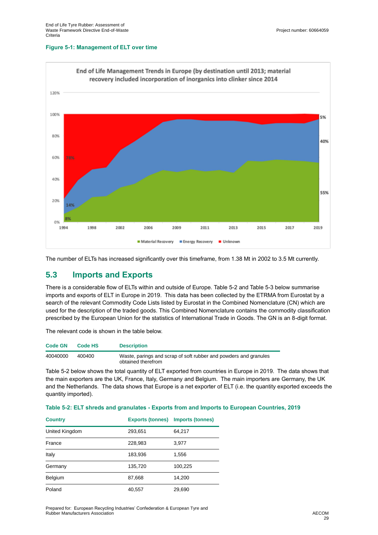#### <span id="page-28-0"></span>**Figure 5-1: Management of ELT over time**



The number of ELTs has increased significantly over this timeframe, from 1.38 Mt in 2002 to 3.5 Mt currently.

## **5.3 Imports and Exports**

There is a considerable flow of ELTs within and outside of Europe. [Table 5-2](#page-28-1) an[d Table 5-3](#page-29-0) below summarise imports and exports of ELT in Europe in 2019. This data has been collected by the ETRMA from Eurostat by a search of the relevant Commodity Code Lists listed by Eurostat in the Combined Nomenclature (CN) which are used for the description of the traded goods. This Combined Nomenclature contains the commodity classification prescribed by the European Union for the statistics of International Trade in Goods. The GN is an 8-digit format.

The relevant code is shown in the table below.

| <b>Code GN</b> | Code HS | <b>Description</b>                                                                     |
|----------------|---------|----------------------------------------------------------------------------------------|
| 40040000       | 400400  | Waste, parings and scrap of soft rubber and powders and granules<br>obtained therefrom |

[Table 5-2](#page-28-1) below shows the total quantity of ELT exported from countries in Europe in 2019. The data shows that the main exporters are the UK, France, Italy, Germany and Belgium. The main importers are Germany, the UK and the Netherlands. The data shows that Europe is a net exporter of ELT (i.e. the quantity exported exceeds the quantity imported).

<span id="page-28-1"></span>

|  |  |  |  | Table 5-2: ELT shreds and granulates - Exports from and Imports to European Countries, 2019 |  |  |
|--|--|--|--|---------------------------------------------------------------------------------------------|--|--|
|--|--|--|--|---------------------------------------------------------------------------------------------|--|--|

| <b>Country</b> | <b>Exports (tonnes)</b> | <b>Imports (tonnes)</b> |
|----------------|-------------------------|-------------------------|
| United Kingdom | 293,651                 | 64,217                  |
| France         | 228,983                 | 3,977                   |
| Italy          | 183,936                 | 1,556                   |
| Germany        | 135,720                 | 100,225                 |
| Belgium        | 87,668                  | 14,200                  |
| Poland         | 40,557                  | 29,690                  |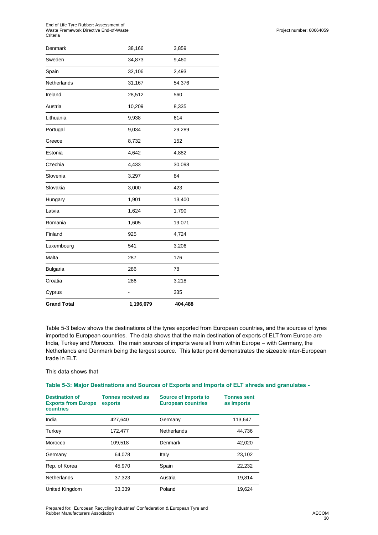End of Life Tyre Rubber: Assessment of Waste Framework Directive End-of-Waste Criteria

| <b>Grand Total</b> | 1,196,079 | 404,488 |  |
|--------------------|-----------|---------|--|
| Cyprus             |           | 335     |  |
| Croatia            | 286       | 3,218   |  |
| <b>Bulgaria</b>    | 286       | 78      |  |
| Malta              | 287       | 176     |  |
| Luxembourg         | 541       | 3,206   |  |
| Finland            | 925       | 4,724   |  |
| Romania            | 1,605     | 19,071  |  |
| Latvia             | 1,624     | 1,790   |  |
| Hungary            | 1,901     | 13,400  |  |
| Slovakia           | 3,000     | 423     |  |
| Slovenia           | 3,297     | 84      |  |
| Czechia            | 4,433     | 30,098  |  |
| Estonia            | 4,642     | 4,882   |  |
| Greece             | 8,732     | 152     |  |
| Portugal           | 9,034     | 29,289  |  |
| Lithuania          | 9,938     | 614     |  |
| Austria            | 10,209    | 8,335   |  |
| Ireland            | 28,512    | 560     |  |
| Netherlands        | 31,167    | 54,376  |  |
| Spain              | 32,106    | 2,493   |  |
| Sweden             | 34,873    | 9,460   |  |
| Denmark            | 38,166    | 3,859   |  |

[Table 5-3](#page-29-0) below shows the destinations of the tyres exported from European countries, and the sources of tyres imported to European countries. The data shows that the main destination of exports of ELT from Europe are India, Turkey and Morocco. The main sources of imports were all from within Europe – with Germany, the Netherlands and Denmark being the largest source. This latter point demonstrates the sizeable inter-European trade in ELT.

#### This data shows that

#### <span id="page-29-0"></span>**Table 5-3: Major Destinations and Sources of Exports and Imports of ELT shreds and granulates -**

| <b>Destination of</b><br><b>Exports from Europe</b><br>countries | <b>Tonnes received as</b><br>exports | <b>Source of Imports to</b><br><b>European countries</b> | <b>Tonnes sent</b><br>as imports |
|------------------------------------------------------------------|--------------------------------------|----------------------------------------------------------|----------------------------------|
| India                                                            | 427.640                              | Germany                                                  | 113,647                          |
| Turkey                                                           | 172,477                              | Netherlands                                              | 44,736                           |
| Morocco                                                          | 109,518                              | Denmark                                                  | 42,020                           |
| Germany                                                          | 64.078                               | Italy                                                    | 23,102                           |
| Rep. of Korea                                                    | 45.970                               | Spain                                                    | 22,232                           |
| Netherlands                                                      | 37,323                               | Austria                                                  | 19,814                           |
| United Kingdom                                                   | 33,339                               | Poland                                                   | 19.624                           |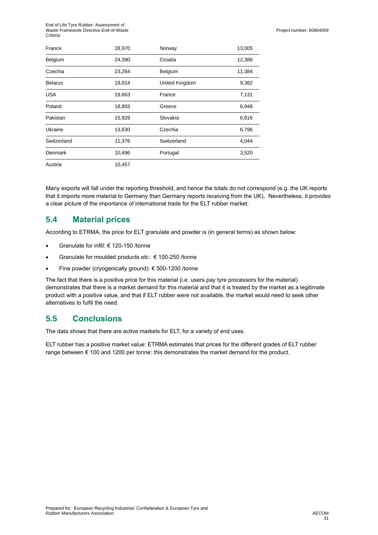| France         | 28,970 | Norway         | 13,005 |
|----------------|--------|----------------|--------|
| Belgium        | 24,390 | Croatia        | 12,386 |
| Czechia        | 23,264 | Belgium        | 11,384 |
| <b>Belarus</b> | 19,814 | United Kingdom | 9,382  |
| <b>USA</b>     | 19,663 | France         | 7,131  |
| Poland         | 18,803 | Greece         | 6,948  |
| Pakistan       | 15,929 | Slovakia       | 6,816  |
| Ukraine        | 13,630 | Czechia        | 6,796  |
| Switzerland    | 11,376 | Switzerland    | 4,044  |
| Denmark        | 10,496 | Portugal       | 3,520  |
| Austria        | 10,457 |                |        |

Many exports will fall under the reporting threshold, and hence the totals do not correspond (e.g. the UK reports that it imports more material to Germany than Germany reports receiving from the UK), Nevertheless, it provides a clear picture of the importance of international trade for the ELT rubber market.

## **5.4 Material prices**

According to ETRMA, the price for ELT granulate and powder is (in general terms) as shown below:

- Granulate for infill: € 120-150 /tonne
- Granulate for moulded products etc: € 100-250 /tonne
- Fine powder (cryogenically ground): € 500-1200 /tonne

The fact that there is a positive price for this material (i.e. users pay tyre processors for the material) demonstrates that there is a market demand for this material and that it is treated by the market as a legitimate product with a positive value, and that if ELT rubber were not available, the market would need to seek other alternatives to fulfil the need.

## **5.5 Conclusions**

The data shows that there are active markets for ELT, for a variety of end uses.

ELT rubber has a positive market value: ETRMA estimates that prices for the different grades of ELT rubber range between € 100 and 1200 per tonne: this demonstrates the market demand for the product.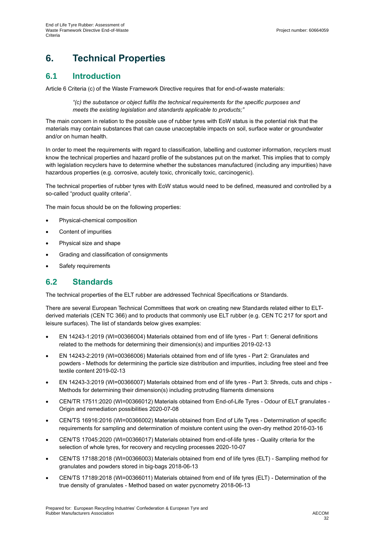# **6. Technical Properties**

## **6.1 Introduction**

Article 6 Criteria (c) of the Waste Framework Directive requires that for end-of-waste materials:

*"(c) the substance or object fulfils the technical requirements for the specific purposes and meets the existing legislation and standards applicable to products;"*

The main concern in relation to the possible use of rubber tyres with EoW status is the potential risk that the materials may contain substances that can cause unacceptable impacts on soil, surface water or groundwater and/or on human health.

In order to meet the requirements with regard to classification, labelling and customer information, recyclers must know the technical properties and hazard profile of the substances put on the market. This implies that to comply with legislation recyclers have to determine whether the substances manufactured (including any impurities) have hazardous properties (e.g. corrosive, acutely toxic, chronically toxic, carcinogenic).

The technical properties of rubber tyres with EoW status would need to be defined, measured and controlled by a so-called "product quality criteria".

The main focus should be on the following properties:

- Physical-chemical composition
- Content of impurities
- Physical size and shape
- Grading and classification of consignments
- Safety requirements

## **6.2 Standards**

The technical properties of the ELT rubber are addressed Technical Specifications or Standards.

There are several European Technical Committees that work on creating new Standards related either to ELTderived materials (CEN TC 366) and to products that commonly use ELT rubber (e.g. CEN TC 217 for sport and leisure surfaces). The list of standards below gives examples:

- EN 14243-1:2019 (WI=00366004) Materials obtained from end of life tyres Part 1: General definitions related to the methods for determining their dimension(s) and impurities 2019-02-13
- EN 14243-2:2019 (WI=00366006) Materials obtained from end of life tyres Part 2: Granulates and powders - Methods for determining the particle size distribution and impurities, including free steel and free textile content 2019-02-13
- EN 14243-3:2019 (WI=00366007) Materials obtained from end of life tyres Part 3: Shreds, cuts and chips Methods for determining their dimension(s) including protruding filaments dimensions
- CEN/TR 17511:2020 (WI=00366012) Materials obtained from End-of-Life Tyres Odour of ELT granulates Origin and remediation possibilities 2020-07-08
- CEN/TS 16916:2016 (WI=00366002) Materials obtained from End of Life Tyres Determination of specific requirements for sampling and determination of moisture content using the oven-dry method 2016-03-16
- CEN/TS 17045:2020 (WI=00366017) Materials obtained from end-of-life tyres Quality criteria for the selection of whole tyres, for recovery and recycling processes 2020-10-07
- CEN/TS 17188:2018 (WI=00366003) Materials obtained from end of life tyres (ELT) Sampling method for granulates and powders stored in big-bags 2018-06-13
- CEN/TS 17189:2018 (WI=00366011) Materials obtained from end of life tyres (ELT) Determination of the true density of granulates - Method based on water pycnometry 2018-06-13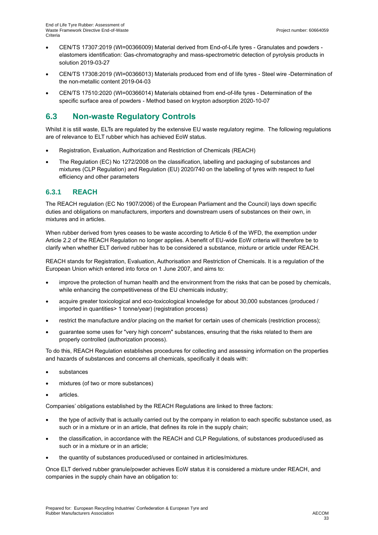- CEN/TS 17307:2019 (WI=00366009) Material derived from End-of-Life tyres Granulates and powders elastomers identification: Gas-chromatography and mass-spectrometric detection of pyrolysis products in solution 2019-03-27
- CEN/TS 17308:2019 (WI=00366013) Materials produced from end of life tyres Steel wire -Determination of the non-metallic content 2019-04-03
- CEN/TS 17510:2020 (WI=00366014) Materials obtained from end-of-life tyres Determination of the specific surface area of powders - Method based on krypton adsorption 2020-10-07

## **6.3 Non-waste Regulatory Controls**

Whilst it is still waste, ELTs are regulated by the extensive EU waste regulatory regime. The following regulations are of relevance to ELT rubber which has achieved EoW status.

- Registration, Evaluation, Authorization and Restriction of Chemicals (REACH)
- The Regulation (EC) No 1272/2008 on the classification, labelling and packaging of substances and mixtures (CLP Regulation) and Regulation (EU) 2020/740 on the labelling of tyres with respect to fuel efficiency and other parameters

### **6.3.1 REACH**

The REACH regulation (EC No 1907/2006) of the European Parliament and the Council) lays down specific duties and obligations on manufacturers, importers and downstream users of substances on their own, in mixtures and in articles.

When rubber derived from tyres ceases to be waste according to Article 6 of the WFD, the exemption under Article 2.2 of the REACH Regulation no longer applies. A benefit of EU-wide EoW criteria will therefore be to clarify when whether ELT derived rubber has to be considered a substance, mixture or article under REACH.

REACH stands for Registration, Evaluation, Authorisation and Restriction of Chemicals. It is a regulation of the European Union which entered into force on 1 June 2007, and aims to:

- improve the protection of human health and the environment from the risks that can be posed by chemicals, while enhancing the competitiveness of the EU chemicals industry;
- acquire greater toxicological and eco-toxicological knowledge for about 30,000 substances (produced / imported in quantities> 1 tonne/year) (registration process)
- restrict the manufacture and/or placing on the market for certain uses of chemicals (restriction process);
- guarantee some uses for "very high concern" substances, ensuring that the risks related to them are properly controlled (authorization process).

To do this, REACH Regulation establishes procedures for collecting and assessing information on the properties and hazards of substances and concerns all chemicals, specifically it deals with:

- substances
- mixtures (of two or more substances)
- articles.

Companies' obligations established by the REACH Regulations are linked to three factors:

- the type of activity that is actually carried out by the company in relation to each specific substance used, as such or in a mixture or in an article, that defines its role in the supply chain;
- the classification, in accordance with the REACH and CLP Regulations, of substances produced/used as such or in a mixture or in an article;
- the quantity of substances produced/used or contained in articles/mixtures.

Once ELT derived rubber granule/powder achieves EoW status it is considered a mixture under REACH, and companies in the supply chain have an obligation to: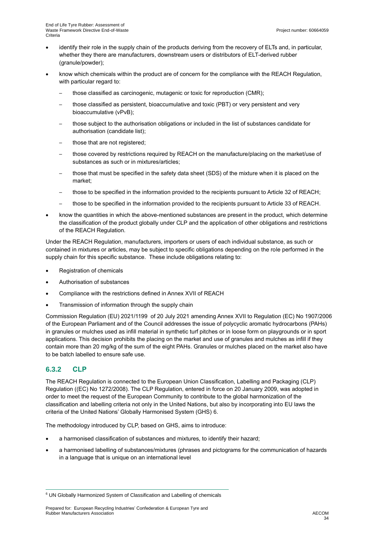- identify their role in the supply chain of the products deriving from the recovery of ELTs and, in particular, whether they there are manufacturers, downstream users or distributors of ELT-derived rubber (granule/powder);
- know which chemicals within the product are of concern for the compliance with the REACH Regulation, with particular regard to:
	- those classified as carcinogenic, mutagenic or toxic for reproduction (CMR);
	- those classified as persistent, bioaccumulative and toxic (PBT) or very persistent and very bioaccumulative (vPvB);
	- those subject to the authorisation obligations or included in the list of substances candidate for authorisation (candidate list);
	- those that are not registered;
	- those covered by restrictions required by REACH on the manufacture/placing on the market/use of substances as such or in mixtures/articles;
	- those that must be specified in the safety data sheet (SDS) of the mixture when it is placed on the market;
	- those to be specified in the information provided to the recipients pursuant to Article 32 of REACH;
	- those to be specified in the information provided to the recipients pursuant to Article 33 of REACH.
- know the quantities in which the above-mentioned substances are present in the product, which determine the classification of the product globally under CLP and the application of other obligations and restrictions of the REACH Regulation.

Under the REACH Regulation, manufacturers, importers or users of each individual substance, as such or contained in mixtures or articles, may be subject to specific obligations depending on the role performed in the supply chain for this specific substance. These include obligations relating to:

- Registration of chemicals
- Authorisation of substances
- Compliance with the restrictions defined in Annex XVII of REACH
- Transmission of information through the supply chain

Commission Regulation (EU) 2021/1199 of 20 July 2021 amending Annex XVII to Regulation (EC) No 1907/2006 of the European Parliament and of the Council addresses the issue of polycyclic aromatic hydrocarbons (PAHs) in granules or mulches used as infill material in synthetic turf pitches or in loose form on playgrounds or in sport applications. This decision prohibits the placing on the market and use of granules and mulches as infill if they contain more than 20 mg/kg of the sum of the eight PAHs. Granules or mulches placed on the market also have to be batch labelled to ensure safe use.

### **6.3.2 CLP**

The REACH Regulation is connected to the European Union Classification, Labelling and Packaging (CLP) Regulation ((EC) No 1272/2008). The CLP Regulation, entered in force on 20 January 2009, was adopted in order to meet the request of the European Community to contribute to the global harmonization of the classification and labelling criteria not only in the United Nations, but also by incorporating into EU laws the criteria of the United Nations' Globally Harmonised System (GHS) 6.

The methodology introduced by CLP, based on GHS, aims to introduce:

- a harmonised classification of substances and mixtures, to identify their hazard;
- a harmonised labelling of substances/mixtures (phrases and pictograms for the communication of hazards in a language that is unique on an international level

 $6$  UN Globally Harmonized System of Classification and Labelling of chemicals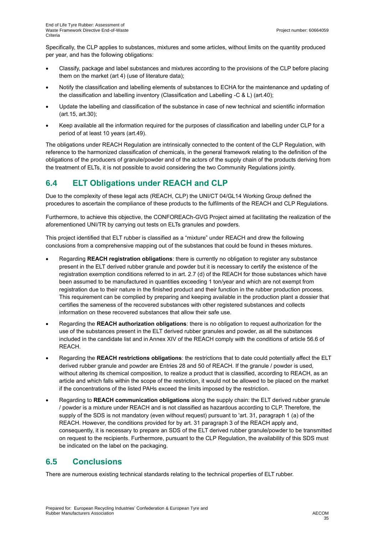Specifically, the CLP applies to substances, mixtures and some articles, without limits on the quantity produced per year, and has the following obligations:

- Classify, package and label substances and mixtures according to the provisions of the CLP before placing them on the market (art 4) (use of literature data);
- Notify the classification and labelling elements of substances to ECHA for the maintenance and updating of the classification and labelling inventory (Classification and Labelling -C & L) (art.40);
- Update the labelling and classification of the substance in case of new technical and scientific information (art.15, art.30);
- Keep available all the information required for the purposes of classification and labelling under CLP for a period of at least 10 years (art.49).

The obligations under REACH Regulation are intrinsically connected to the content of the CLP Regulation, with reference to the harmonized classification of chemicals, in the general framework relating to the definition of the obligations of the producers of granule/powder and of the actors of the supply chain of the products deriving from the treatment of ELTs, it is not possible to avoid considering the two Community Regulations jointly.

## **6.4 ELT Obligations under REACH and CLP**

Due to the complexity of these legal acts (REACH, CLP) the UNI/CT 04/GL14 Working Group defined the procedures to ascertain the compliance of these products to the fulfilments of the REACH and CLP Regulations.

Furthermore, to achieve this objective, the CONFOREACh-GVG Project aimed at facilitating the realization of the aforementioned UNI/TR by carrying out tests on ELTs granules and powders.

This project identified that ELT rubber is classified as a "mixture" under REACH and drew the following conclusions from a comprehensive mapping out of the substances that could be found in theses mixtures.

- Regarding **REACH registration obligations**: there is currently no obligation to register any substance present in the ELT derived rubber granule and powder but it is necessary to certify the existence of the registration exemption conditions referred to in art. 2.7 (d) of the REACH for those substances which have been assumed to be manufactured in quantities exceeding 1 ton/year and which are not exempt from registration due to their nature in the finished product and their function in the rubber production process. This requirement can be complied by preparing and keeping available in the production plant a dossier that certifies the sameness of the recovered substances with other registered substances and collects information on these recovered substances that allow their safe use.
- Regarding the **REACH authorization obligations**: there is no obligation to request authorization for the use of the substances present in the ELT derived rubber granules and powder, as all the substances included in the candidate list and in Annex XIV of the REACH comply with the conditions of article 56.6 of REACH.
- Regarding the **REACH restrictions obligations**: the restrictions that to date could potentially affect the ELT derived rubber granule and powder are Entries 28 and 50 of REACH. If the granule / powder is used, without altering its chemical composition, to realize a product that is classified, according to REACH, as an article and which falls within the scope of the restriction, it would not be allowed to be placed on the market if the concentrations of the listed PAHs exceed the limits imposed by the restriction.
- Regarding to **REACH communication obligations** along the supply chain: the ELT derived rubber granule / powder is a mixture under REACH and is not classified as hazardous according to CLP. Therefore, the supply of the SDS is not mandatory (even without request) pursuant to 'art. 31, paragraph 1 (a) of the REACH. However, the conditions provided for by art. 31 paragraph 3 of the REACH apply and, consequently, it is necessary to prepare an SDS of the ELT derived rubber granule/powder to be transmitted on request to the recipients. Furthermore, pursuant to the CLP Regulation, the availability of this SDS must be indicated on the label on the packaging.

## **6.5 Conclusions**

There are numerous existing technical standards relating to the technical properties of ELT rubber.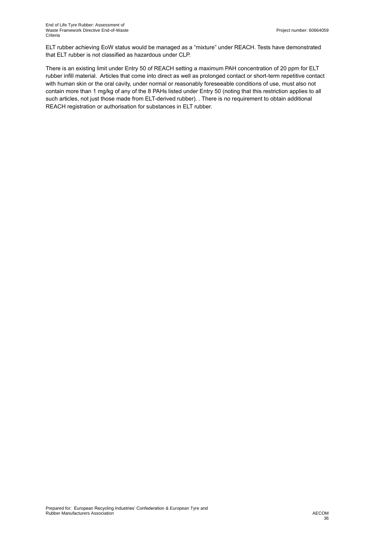ELT rubber achieving EoW status would be managed as a "mixture" under REACH. Tests have demonstrated that ELT rubber is not classified as hazardous under CLP.

There is an existing limit under Entry 50 of REACH setting a maximum PAH concentration of 20 ppm for ELT rubber infill material. Articles that come into direct as well as prolonged contact or short-term repetitive contact with human skin or the oral cavity, under normal or reasonably foreseeable conditions of use, must also not contain more than 1 mg/kg of any of the 8 PAHs listed under Entry 50 (noting that this restriction applies to all such articles, not just those made from ELT-derived rubber). . There is no requirement to obtain additional REACH registration or authorisation for substances in ELT rubber.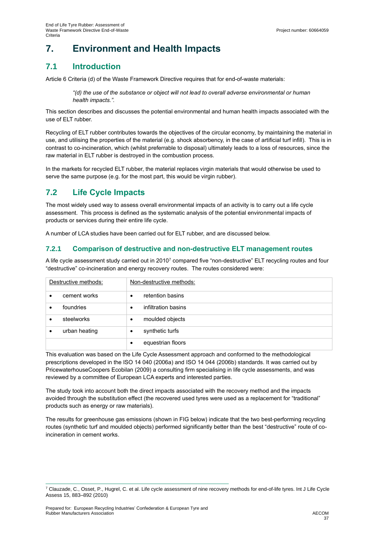# **7. Environment and Health Impacts**

## **7.1 Introduction**

Article 6 Criteria (d) of the Waste Framework Directive requires that for end-of-waste materials:

*"(d) the use of the substance or object will not lead to overall adverse environmental or human health impacts.".*

This section describes and discusses the potential environmental and human health impacts associated with the use of ELT rubber.

Recycling of ELT rubber contributes towards the objectives of the circular economy, by maintaining the material in use, and utilising the properties of the material (e.g. shock absorbency, in the case of artificial turf infill). This is in contrast to co-incineration, which (whilst preferrable to disposal) ultimately leads to a loss of resources, since the raw material in ELT rubber is destroyed in the combustion process.

In the markets for recycled ELT rubber, the material replaces virgin materials that would otherwise be used to serve the same purpose (e.g. for the most part, this would be virgin rubber).

## **7.2 Life Cycle Impacts**

The most widely used way to assess overall environmental impacts of an activity is to carry out a life cycle assessment. This process is defined as the systematic analysis of the potential environmental impacts of products or services during their entire life cycle.

A number of LCA studies have been carried out for ELT rubber, and are discussed below.

### **7.2.1 Comparison of destructive and non-destructive ELT management routes**

A life cycle assessment study carried out in 2010<sup>7</sup> compared five "non-destructive" ELT recycling routes and four "destructive" co-incineration and energy recovery routes. The routes considered were:

| Destructive methods: |           | Non-destructive methods: |
|----------------------|-----------|--------------------------|
| cement works         | $\bullet$ | retention basins         |
| foundries            | $\bullet$ | infiltration basins      |
| steelworks           | $\bullet$ | moulded objects          |
| urban heating        | $\bullet$ | synthetic turfs          |
|                      | $\bullet$ | equestrian floors        |

This evaluation was based on the Life Cycle Assessment approach and conformed to the methodological prescriptions developed in the ISO 14 040 (2006a) and ISO 14 044 (2006b) standards. It was carried out by PricewaterhouseCoopers Ecobilan (2009) a consulting firm specialising in life cycle assessments, and was reviewed by a committee of European LCA experts and interested parties.

The study took into account both the direct impacts associated with the recovery method and the impacts avoided through the substitution effect (the recovered used tyres were used as a replacement for "traditional" products such as energy or raw materials).

The results for greenhouse gas emissions (shown in FIG below) indicate that the two best-performing recycling routes (synthetic turf and moulded objects) performed significantly better than the best "destructive" route of coincineration in cement works.

 $7$  Clauzade, C., Osset, P., Hugrel, C. et al. Life cycle assessment of nine recovery methods for end-of-life tyres. Int J Life Cycle Assess 15, 883–892 (2010)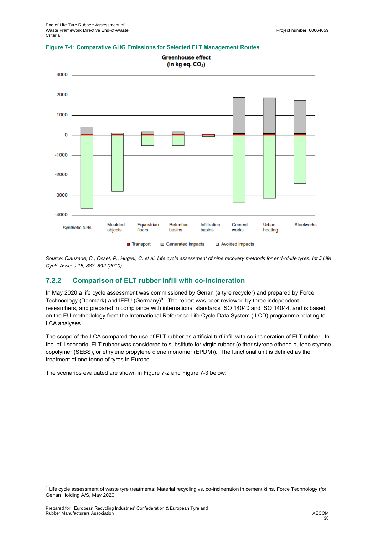

#### **Figure 7-1: Comparative GHG Emissions for Selected ELT Management Routes**

*Source: Clauzade, C., Osset, P., Hugrel, C. et al. Life cycle assessment of nine recovery methods for end-of-life tyres. Int J Life Cycle Assess 15, 883–892 (2010)*

#### **7.2.2 Comparison of ELT rubber infill with co-incineration**

In May 2020 a life cycle assessment was commissioned by Genan (a tyre recycler) and prepared by Force Technoology (Denmark) and IFEU (Germany)<sup>8</sup>. The report was peer-reviewed by three independent researchers, and prepared in compliance with international standards ISO 14040 and ISO 14044, and is based on the EU methodology from the International Reference Life Cycle Data System (ILCD) programme relating to LCA analyses.

The scope of the LCA compared the use of ELT rubber as artificial turf infill with co-incineration of ELT rubber. In the infill scenario, ELT rubber was considered to substitute for virgin rubber (either styrene ethene butene styrene copolymer (SEBS), or ethylene propylene diene monomer (EPDM)). The functional unit is defined as the treatment of one tonne of tyres in Europe.

The scenarios evaluated are shown in [Figure 7-2](#page-38-0) and [Figure 7-3](#page-38-1) below:

<sup>&</sup>lt;sup>8</sup> Life cycle assessment of waste tyre treatments: Material recycling vs. co-incineration in cement kilns, Force Technology (for Genan Holding A/S, May 2020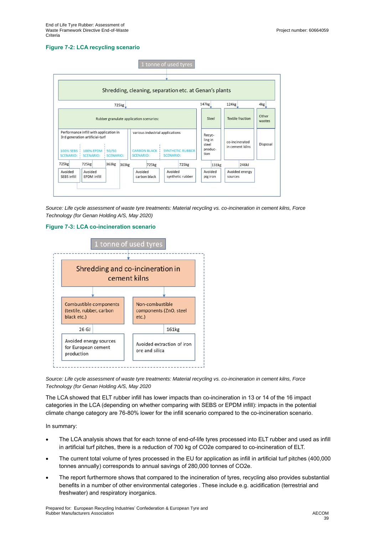#### <span id="page-38-0"></span>**Figure 7-2: LCA recycling scenario**



*Source: Life cycle assessment of waste tyre treatments: Material recycling vs. co-incineration in cement kilns, Force Technology (for Genan Holding A/S, May 2020)*

#### <span id="page-38-1"></span>**Figure 7-3: LCA co-incineration scenario**



*Source: Life cycle assessment of waste tyre treatments: Material recycling vs. co-incineration in cement kilns, Force Technology (for Genan Holding A/S, May 2020*

The LCA showed that ELT rubber infill has lower impacts than co-incineration in 13 or 14 of the 16 impact categories in the LCA (depending on whether comparing with SEBS or EPDM infill): impacts in the potential climate change category are 76-80% lower for the infill scenario compared to the co-incineration scenario.

In summary:

- The LCA analysis shows that for each tonne of end-of-life tyres processed into ELT rubber and used as infill in artificial turf pitches, there is a reduction of 700 kg of CO2e compared to co-incineration of ELT.
- The current total volume of tyres processed in the EU for application as infill in artificial turf pitches (400,000 tonnes annually) corresponds to annual savings of 280,000 tonnes of CO2e.
- The report furthermore shows that compared to the incineration of tyres, recycling also provides substantial benefits in a number of other environmental categories . These include e.g. acidification (terrestrial and freshwater) and respiratory inorganics.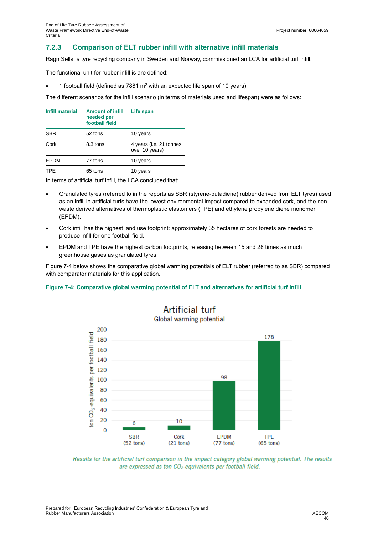### **7.2.3 Comparison of ELT rubber infill with alternative infill materials**

Ragn Sells, a tyre recycling company in Sweden and Norway, commissioned an LCA for artificial turf infill.

The functional unit for rubber infill is are defined:

1 football field (defined as  $7881 \text{ m}^2$  with an expected life span of 10 years)

The different scenarios for the infill scenario (in terms of materials used and lifespan) were as follows:

| <b>Infill material</b> | <b>Amount of infill</b><br>needed per<br>football field | Life span                                 |  |
|------------------------|---------------------------------------------------------|-------------------------------------------|--|
| <b>SBR</b>             | 52 tons                                                 | 10 years                                  |  |
| Cork                   | 8.3 tons                                                | 4 years (i.e. 21 tonnes<br>over 10 years) |  |
| <b>EPDM</b><br>77 tons |                                                         | 10 years                                  |  |
| <b>TPE</b><br>65 tons  |                                                         | 10 years                                  |  |

In terms of artificial turf infill, the LCA concluded that:

- Granulated tyres (referred to in the reports as SBR (styrene-butadiene) rubber derived from ELT tyres) used as an infill in artificial turfs have the lowest environmental impact compared to expanded cork, and the nonwaste derived alternatives of thermoplastic elastomers (TPE) and ethylene propylene diene monomer (EPDM).
- Cork infill has the highest land use footprint: approximately 35 hectares of cork forests are needed to produce infill for one football field.
- EPDM and TPE have the highest carbon footprints, releasing between 15 and 28 times as much greenhouse gases as granulated tyres.

[Figure 7-4](#page-39-0) below shows the comparative global warming potentials of ELT rubber (referred to as SBR) compared with comparator materials for this application.

#### <span id="page-39-0"></span>**Figure 7-4: Comparative global warming potential of ELT and alternatives for artificial turf infill**



# Artificial turf

Global warming potential

Results for the artificial turf comparison in the impact category global warming potential. The results are expressed as ton CO<sub>2</sub>-equivalents per football field.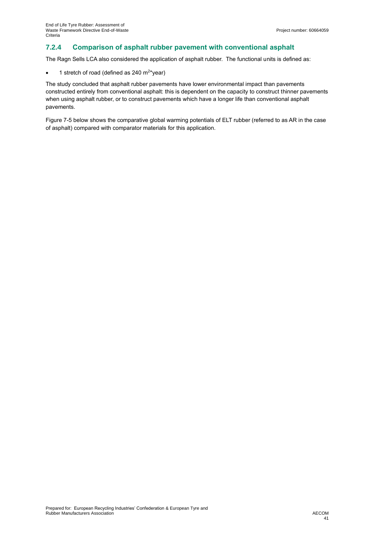## **7.2.4 Comparison of asphalt rubber pavement with conventional asphalt**

The Ragn Sells LCA also considered the application of asphalt rubber. The functional units is defined as:

• 1 stretch of road (defined as 240  $\text{m}^{2*}$ year)

The study concluded that asphalt rubber pavements have lower environmental impact than pavements constructed entirely from conventional asphalt: this is dependent on the capacity to construct thinner pavements when using asphalt rubber, or to construct pavements which have a longer life than conventional asphalt pavements.

[Figure 7-5](#page-41-0) below shows the comparative global warming potentials of ELT rubber (referred to as AR in the case of asphalt) compared with comparator materials for this application.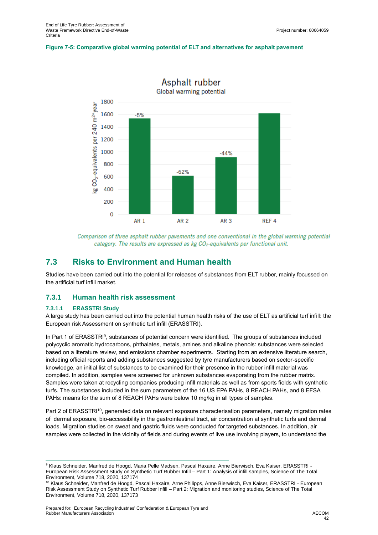#### <span id="page-41-0"></span>**Figure 7-5: Comparative global warming potential of ELT and alternatives for asphalt pavement**



Comparison of three asphalt rubber pavements and one conventional in the global warming potential category. The results are expressed as kg CO<sub>2</sub>-equivalents per functional unit.

### **7.3 Risks to Environment and Human health**

Studies have been carried out into the potential for releases of substances from ELT rubber, mainly focussed on the artificial turf infill market.

#### **7.3.1 Human health risk assessment**

#### **7.3.1.1 ERASSTRI Study**

A large study has been carried out into the potential human health risks of the use of ELT as artificial turf infill: the European risk Assessment on synthetic turf infill (ERASSTRI).

In Part 1 of ERASSTRI<sup>9</sup>, substances of potential concern were identified. The groups of substances included polycyclic aromatic hydrocarbons, phthalates, metals, amines and alkaline phenols: substances were selected based on a literature review, and emissions chamber experiments. Starting from an extensive literature search, including official reports and adding substances suggested by tyre manufacturers based on sector-specific knowledge, an initial list of substances to be examined for their presence in the rubber infill material was compiled. In addition, samples were screened for unknown substances evaporating from the rubber matrix. Samples were taken at recycling companies producing infill materials as well as from sports fields with synthetic turfs. The substances included in the sum parameters of the 16 US EPA PAHs, 8 REACH PAHs, and 8 EFSA PAHs: means for the sum of 8 REACH PAHs were below 10 mg/kg in all types of samples.

Part 2 of ERASSTRI<sup>10</sup>, generated data on relevant exposure characterisation parameters, namely migration rates of dermal exposure, bio-accessibility in the gastrointestinal tract, air concentration at synthetic turfs and dermal loads. Migration studies on sweat and gastric fluids were conducted for targeted substances. In addition, air samples were collected in the vicinity of fields and during events of live use involving players, to understand the

<sup>9</sup> Klaus Schneider, Manfred de Hoogd, Maria Pelle Madsen, Pascal Haxaire, Anne Bierwisch, Eva Kaiser, ERASSTRI -European Risk Assessment Study on Synthetic Turf Rubber Infill – Part 1: Analysis of infill samples, Science of The Total Environment, Volume 718, 2020, 137174

<sup>&</sup>lt;sup>10</sup> Klaus Schneider, Manfred de Hoogd, Pascal Haxaire, Arne Philipps, Anne Bierwisch, Eva Kaiser, ERASSTRI - European Risk Assessment Study on Synthetic Turf Rubber Infill – Part 2: Migration and monitoring studies, Science of The Total Environment, Volume 718, 2020, 137173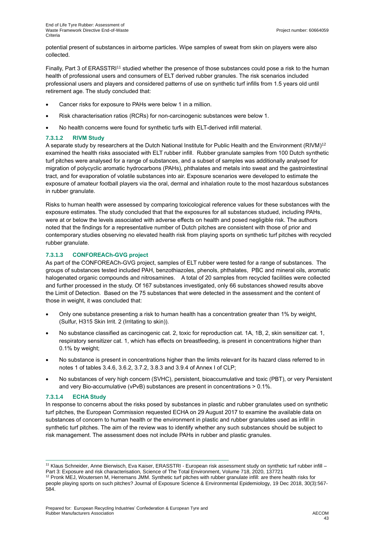potential present of substances in airborne particles. Wipe samples of sweat from skin on players were also collected.

Finally, Part 3 of ERASSTRI<sup>11</sup> studied whether the presence of those substances could pose a risk to the human health of professional users and consumers of ELT derived rubber granules. The risk scenarios included professional users and players and considered patterns of use on synthetic turf infills from 1.5 years old until retirement age. The study concluded that:

- Cancer risks for exposure to PAHs were below 1 in a million.
- Risk characterisation ratios (RCRs) for non-carcinogenic substances were below 1.
- No health concerns were found for synthetic turfs with ELT-derived infill material.

#### **7.3.1.2 RIVM Study**

A separate study by researchers at the Dutch National Institute for Public Health and the Environment (RIVM) $^{\text{12}}$ examined the health risks associated with ELT rubber infill. Rubber granulate samples from 100 Dutch synthetic turf pitches were analysed for a range of substances, and a subset of samples was additionally analysed for migration of polycyclic aromatic hydrocarbons (PAHs), phthalates and metals into sweat and the gastrointestinal tract, and for evaporation of volatile substances into air. Exposure scenarios were developed to estimate the exposure of amateur football players via the oral, dermal and inhalation route to the most hazardous substances in rubber granulate.

Risks to human health were assessed by comparing toxicological reference values for these substances with the exposure estimates. The study concluded that that the exposures for all substances studued, including PAHs, were at or below the levels associated with adverse effects on health and posed negligible risk. The authors noted that the findings for a representative number of Dutch pitches are consistent with those of prior and contemporary studies observing no elevated health risk from playing sports on synthetic turf pitches with recycled rubber granulate.

#### **7.3.1.3 CONFOREACh-GVG project**

As part of the CONFOREACh-GVG project, samples of ELT rubber were tested for a range of substances. The groups of substances tested included PAH, benzothiazoles, phenols, phthalates, PBC and mineral oils, aromatic halogenated organic compounds and nitrosamines. A total of 20 samples from recycled facilities were collected and further processed in the study. Of 167 substances investigated, only 66 substances showed results above the Limit of Detection. Based on the 75 substances that were detected in the assessment and the content of those in weight, it was concluded that:

- Only one substance presenting a risk to human health has a concentration greater than 1% by weight, (Sulfur, H315 Skin Irrit. 2 (Irritating to skin)).
- No substance classified as carcinogenic cat. 2, toxic for reproduction cat. 1A, 1B, 2, skin sensitizer cat. 1, respiratory sensitizer cat. 1, which has effects on breastfeeding, is present in concentrations higher than 0.1% by weight;
- No substance is present in concentrations higher than the limits relevant for its hazard class referred to in notes 1 of tables 3.4.6, 3.6.2, 3.7.2, 3.8.3 and 3.9.4 of Annex I of CLP;
- No substances of very high concern (SVHC), persistent, bioaccumulative and toxic (PBT), or very Persistent and very Bio-accumulative (vPvB) substances are present in concentrations > 0.1%.

#### **7.3.1.4 ECHA Study**

In response to concerns about the risks posed by substances in plastic and rubber granulates used on synthetic turf pitches, the European Commission requested ECHA on 29 August 2017 to examine the available data on substances of concern to human health or the environment in plastic and rubber granulates used as infill in synthetic turf pitches. The aim of the review was to identify whether any such substances should be subject to risk management. The assessment does not include PAHs in rubber and plastic granules.

<sup>11</sup> Klaus Schneider, Anne Bierwisch, Eva Kaiser, ERASSTRI - European risk assessment study on synthetic turf rubber infill – Part 3: Exposure and risk characterisation, Science of The Total Environment, Volume 718, 2020, 137721

<sup>&</sup>lt;sup>12</sup> Pronk MEJ, Woutersen M, Herremans JMM. Synthetic turf pitches with rubber granulate infill: are there health risks for people playing sports on such pitches? Journal of Exposure Science & Environmental Epidemiology, 19 Dec 2018, 30(3):567- 584.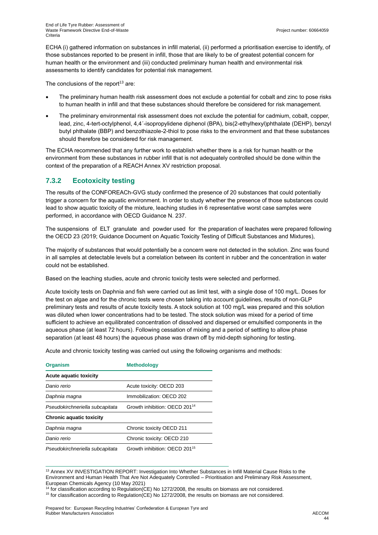ECHA (i) gathered information on substances in infill material, (ii) performed a prioritisation exercise to identify, of those substances reported to be present in infill, those that are likely to be of greatest potential concern for human health or the environment and (iii) conducted preliminary human health and environmental risk assessments to identify candidates for potential risk management.

The conclusions of the report $13$  are:

- The preliminary human health risk assessment does not exclude a potential for cobalt and zinc to pose risks to human health in infill and that these substances should therefore be considered for risk management.
- The preliminary environmental risk assessment does not exclude the potential for cadmium, cobalt, copper, lead, zinc, 4-tert-octylphenol, 4,4´-isopropylidene diphenol (BPA), bis(2-ethylhexyl)phthalate (DEHP), benzyl butyl phthalate (BBP) and benzothiazole-2-thiol to pose risks to the environment and that these substances should therefore be considered for risk management.

The ECHA recommended that any further work to establish whether there is a risk for human health or the environment from these substances in rubber infill that is not adequately controlled should be done within the context of the preparation of a REACH Annex XV restriction proposal.

### **7.3.2 Ecotoxicity testing**

The results of the CONFOREACh-GVG study confirmed the presence of 20 substances that could potentially trigger a concern for the aquatic environment. In order to study whether the presence of those substances could lead to show aquatic toxicity of the mixture, leaching studies in 6 representative worst case samples were performed, in accordance with OECD Guidance N. 237.

The suspensions of ELT granulate and powder used for the preparation of leachates were prepared following the OECD 23 (2019; Guidance Document on Aquatic Toxicity Testing of Difficult Substances and Mixtures),

The majority of substances that would potentially be a concern were not detected in the solution. Zinc was found in all samples at detectable levels but a correlation between its content in rubber and the concentration in water could not be established.

Based on the leaching studies, acute and chronic toxicity tests were selected and performed.

Acute toxicity tests on Daphnia and fish were carried out as limit test, with a single dose of 100 mg/L. Doses for the test on algae and for the chronic tests were chosen taking into account guidelines, results of non-GLP preliminary tests and results of acute toxicity tests. A stock solution at 100 mg/L was prepared and this solution was diluted when lower concentrations had to be tested. The stock solution was mixed for a period of time sufficient to achieve an equilibrated concentration of dissolved and dispersed or emulsified components in the aqueous phase (at least 72 hours). Following cessation of mixing and a period of settling to allow phase separation (at least 48 hours) the aqueous phase was drawn off by mid-depth siphoning for testing.

Acute and chronic toxicity testing was carried out using the following organisms and methods:

| <b>Organism</b>                 | <b>Methodology</b>                        |
|---------------------------------|-------------------------------------------|
| <b>Acute aquatic toxicity</b>   |                                           |
| Danio rerio                     | Acute toxicity: OECD 203                  |
| Daphnia magna                   | Immobilization: OECD 202                  |
| Pseudokirchneriella subcapitata | Growth inhibition: OECD 201 <sup>14</sup> |
| <b>Chronic aquatic toxicity</b> |                                           |
| Daphnia magna                   | Chronic toxicity OECD 211                 |
| Danio rerio                     | Chronic toxicity: OECD 210                |
| Pseudokirchneriella subcapitata | Growth inhibition: OECD 201 <sup>15</sup> |

<sup>13</sup> Annex XV INVESTIGATION REPORT: Investigation Into Whether Substances in Infill Material Cause Risks to the Environment and Human Health That Are Not Adequately Controlled – Prioritisation and Preliminary Risk Assessment, European Chemicals Agency (10 May 2021)

<sup>14</sup> for classification according to Regulation(CE) No 1272/2008, the results on biomass are not considered.

15 for classification according to Regulation(CE) No 1272/2008, the results on biomass are not considered.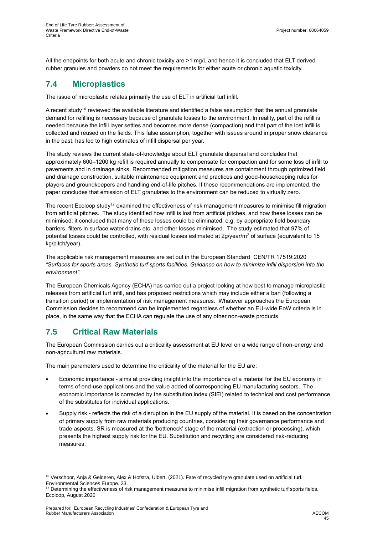All the endpoints for both acute and chronic toxicity are >1 mg/L and hence it is concluded that ELT derived rubber granules and powders do not meet the requirements for either acute or chronic aquatic toxicity.

## **7.4 Microplastics**

The issue of microplastic relates primarily the use of ELT in artificial turf infill.

A recent study<sup>16</sup> reviewed the available literature and identified a false assumption that the annual granulate demand for refilling is necessary because of granulate losses to the environment. In reality, part of the refill is needed because the infill layer settles and becomes more dense (compaction) and that part of the lost infill is collected and reused on the fields. This false assumption, together with issues around improper snow clearance in the past, has led to high estimates of infill dispersal per year.

The study reviews the current state-of-knowledge about ELT granulate dispersal and concludes that approximately 600–1200 kg refill is required annually to compensate for compaction and for some loss of infill to pavements and in drainage sinks. Recommended mitigation measures are containment through optimized field and drainage construction, suitable maintenance equipment and practices and good-housekeeping rules for players and groundkeepers and handling end-of-life pitches. If these recommendations are implemented, the paper concludes that emission of ELT granulates to the environment can be reduced to virtually zero.

The recent Ecoloop study<sup>17</sup> examined the effectiveness of risk management measures to minimise fill migration from artificial pitches. The study identified how infill is lost from artificial pitches, and how these losses can be minimised: it concluded that many of these losses could be eliminated, e.g. by appropriate field boundary barriers, filters in surface water drains etc. and other losses minimised. The study estimated that 97% of potential losses could be controlled, with residual losses estimated at  $2g/year/m<sup>2</sup>$  of surface (equivalent to 15 kg/pitch/year).

The applicable risk management measures are set out in the European Standard CEN/TR 17519:2020 *"Surfaces for sports areas. Synthetic turf sports facilities. Guidance on how to minimize infill dispersion into the environment".*

The European Chemicals Agency (ECHA) has carried out a project looking at how best to manage microplastic releases from artificial turf infill, and has proposed restrictions which may include either a ban (following a transition period) or implementation of risk management measures. Whatever approaches the European Commission decides to recommend can be implemented regardless of whether an EU-wide EoW criteria is in place, in the same way that the ECHA can regulate the use of any other non-waste products.

## **7.5 Critical Raw Materials**

The European Commission carries out a criticality assessment at EU level on a wide range of non-energy and non-agricultural raw materials.

The main parameters used to determine the criticality of the material for the EU are:

- Economic importance aims at providing insight into the importance of a material for the EU economy in terms of end-use applications and the value added of corresponding EU manufacturing sectors. The economic importance is corrected by the substitution index (SIEI) related to technical and cost performance of the substitutes for individual applications.
- Supply risk reflects the risk of a disruption in the EU supply of the material. It is based on the concentration of primary supply from raw materials producing countries, considering their governance performance and trade aspects. SR is measured at the 'bottleneck' stage of the material (extraction or processing), which presents the highest supply risk for the EU. Substitution and recycling are considered risk-reducing measures.

<sup>16</sup> Verschoor, Anja & Gelderen, Alex & Hofstra, Ulbert. (2021). Fate of recycled tyre granulate used on artificial turf. Environmental Sciences Europe. 33.

<sup>&</sup>lt;sup>17</sup> Determining the effectiveness of risk management measures to minimise infill migration from synthetic turf sports fields, Ecoloop, August 2020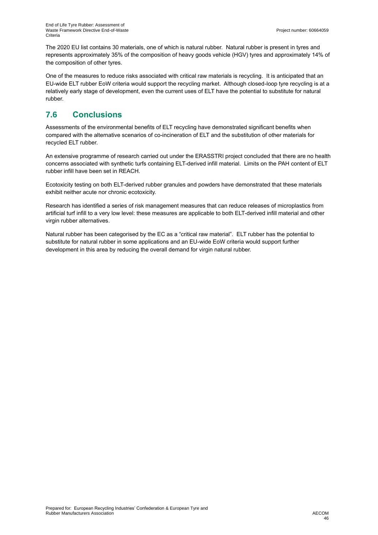The 2020 EU list contains 30 materials, one of which is natural rubber. Natural rubber is present in tyres and represents approximately 35% of the composition of heavy goods vehicle (HGV) tyres and approximately 14% of the composition of other tyres.

One of the measures to reduce risks associated with critical raw materials is recycling. It is anticipated that an EU-wide ELT rubber EoW criteria would support the recycling market. Although closed-loop tyre recycling is at a relatively early stage of development, even the current uses of ELT have the potential to substitute for natural rubber.

## **7.6 Conclusions**

Assessments of the environmental benefits of ELT recycling have demonstrated significant benefits when compared with the alternative scenarios of co-incineration of ELT and the substitution of other materials for recycled ELT rubber.

An extensive programme of research carried out under the ERASSTRI project concluded that there are no health concerns associated with synthetic turfs containing ELT-derived infill material. Limits on the PAH content of ELT rubber infill have been set in REACH.

Ecotoxicity testing on both ELT-derived rubber granules and powders have demonstrated that these materials exhibit neither acute nor chronic ecotoxicity.

Research has identified a series of risk management measures that can reduce releases of microplastics from artificial turf infill to a very low level: these measures are applicable to both ELT-derived infill material and other virgin rubber alternatives.

Natural rubber has been categorised by the EC as a "critical raw material". ELT rubber has the potential to substitute for natural rubber in some applications and an EU-wide EoW criteria would support further development in this area by reducing the overall demand for virgin natural rubber.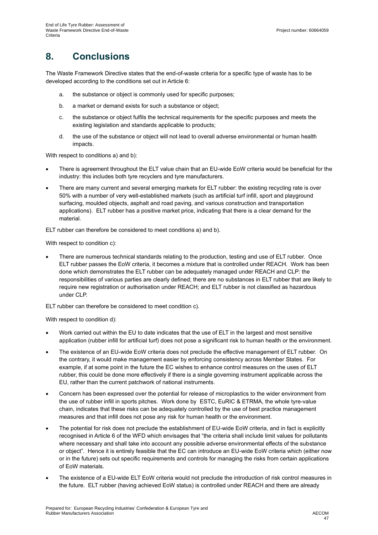# **8. Conclusions**

The Waste Framework Directive states that the end-of-waste criteria for a specific type of waste has to be developed according to the conditions set out in Article 6:

- a. the substance or object is commonly used for specific purposes;
- b. a market or demand exists for such a substance or object;
- c. the substance or object fulfils the technical requirements for the specific purposes and meets the existing legislation and standards applicable to products;
- d. the use of the substance or object will not lead to overall adverse environmental or human health impacts.

With respect to conditions a) and b):

- There is agreement throughout the ELT value chain that an EU-wide EoW criteria would be beneficial for the industry: this includes both tyre recyclers and tyre manufacturers.
- There are many current and several emerging markets for ELT rubber: the existing recycling rate is over 50% with a number of very well-established markets (such as artificial turf infill, sport and playground surfacing, moulded objects, asphalt and road paving, and various construction and transportation applications). ELT rubber has a positive market price, indicating that there is a clear demand for the material.

ELT rubber can therefore be considered to meet conditions a) and b).

With respect to condition c):

• There are numerous technical standards relating to the production, testing and use of ELT rubber. Once ELT rubber passes the EoW criteria, it becomes a mixture that is controlled under REACH. Work has been done which demonstrates the ELT rubber can be adequately managed under REACH and CLP: the responsibilities of various parties are clearly defined; there are no substances in ELT rubber that are likely to require new registration or authorisation under REACH; and ELT rubber is not classified as hazardous under CLP.

ELT rubber can therefore be considered to meet condition c).

With respect to condition d):

- Work carried out within the EU to date indicates that the use of ELT in the largest and most sensitive application (rubber infill for artificial turf) does not pose a significant risk to human health or the environment.
- The existence of an EU-wide EoW criteria does not preclude the effective management of ELT rubber. On the contrary, it would make management easier by enforcing consistency across Member States. For example, if at some point in the future the EC wishes to enhance control measures on the uses of ELT rubber, this could be done more effectively if there is a single governing instrument applicable across the EU, rather than the current patchwork of national instruments.
- Concern has been expressed over the potential for release of microplastics to the wider environment from the use of rubber infill in sports pitches. Work done by ESTC, EuRIC & ETRMA, the whole tyre-value chain, indicates that these risks can be adequately controlled by the use of best practice management measures and that infill does not pose any risk for human health or the environment.
- The potential for risk does not preclude the establishment of EU-wide EoW criteria, and in fact is explicitly recognised in Article 6 of the WFD which envisages that "the criteria shall include limit values for pollutants where necessary and shall take into account any possible adverse environmental effects of the substance or object". Hence it is entirely feasible that the EC can introduce an EU-wide EoW criteria which (either now or in the future) sets out specific requirements and controls for managing the risks from certain applications of EoW materials.
- The existence of a EU-wide ELT EoW criteria would not preclude the introduction of risk control measures in the future. ELT rubber (having achieved EoW status) is controlled under REACH and there are already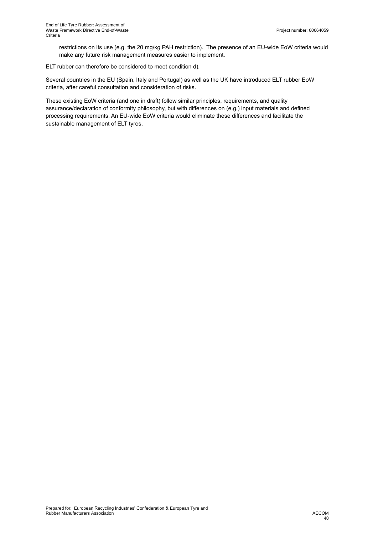restrictions on its use (e.g. the 20 mg/kg PAH restriction). The presence of an EU-wide EoW criteria would make any future risk management measures easier to implement.

ELT rubber can therefore be considered to meet condition d).

Several countries in the EU (Spain, Italy and Portugal) as well as the UK have introduced ELT rubber EoW criteria, after careful consultation and consideration of risks.

These existing EoW criteria (and one in draft) follow similar principles, requirements, and quality assurance/declaration of conformity philosophy, but with differences on (e.g.) input materials and defined processing requirements. An EU-wide EoW criteria would eliminate these differences and facilitate the sustainable management of ELT tyres.